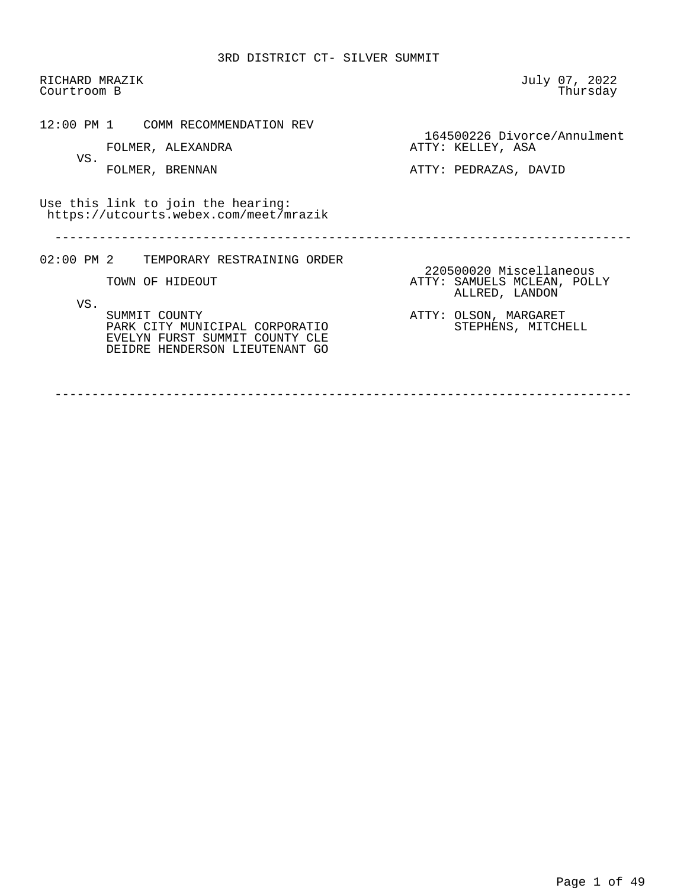RICHARD MRAZIK July 07, 2022 Courtroom B 12:00 PM 1 COMM RECOMMENDATION REV 164500226 Divorce/Annulment<br>ATTY: KELLEY, ASA FOLMER, ALEXANDRA VS. FOLMER, BRENNAN ATTY: PEDRAZAS, DAVID Use this link to join the hearing: https://utcourts.webex.com/meet/mrazik ------------------------------------------------------------------------------ 02:00 PM 2 TEMPORARY RESTRAINING ORDER 220500020 Miscellaneous<br>ATTY: SAMUELS MCLEAN, POLI ATTY: SAMUELS MCLEAN, POLLY ALLRED, LANDON VS.<br>SUMMIT COUNTY ATTY: OLSON, MARGARET<br>STEPHENS, MITCHELL PARK CITY MUNICIPAL CORPORATIO EVELYN FURST SUMMIT COUNTY CLE DEIDRE HENDERSON LIEUTENANT GO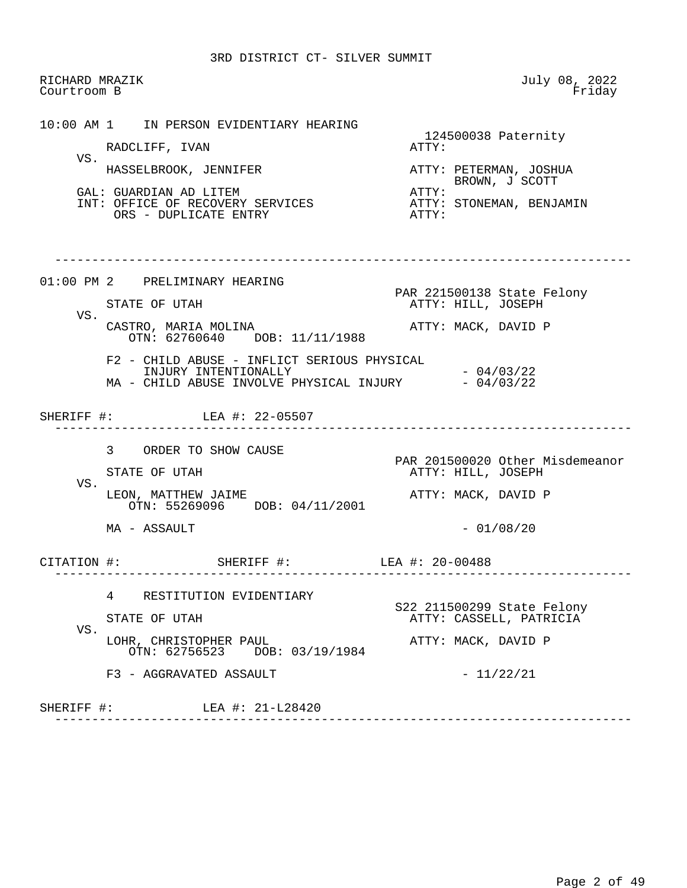RICHARD MRAZIK July 08, 2022<br>Courtroom B Friday Courtroom B

 10:00 AM 1 IN PERSON EVIDENTIARY HEARING 124500038 Paternity<br>ATTY: RADCLIFF, IVAN VS.<br>HASSELBROOK, JENNIFER ATTY: PETERMAN, JOSHUA BROWN, J SCOTT<br>ATTY: GAL: GUARDIAN AD LITEM<br>
INT: OFFICE OF RECOVERY SERVICES ATTY: STONEMAN, BENJAMIN INT: OFFICE OF RECOVERY SERVICES ATTY:<br>ORS - DUPLICATE ENTRY ORS - DUPLICATE ENTRY ------------------------------------------------------------------------------ 01:00 PM 2 PRELIMINARY HEARING PAR 221500138 State Felony ATTY: HILL, JOSEPH VS. CASTRO, MARIA MOLINA ATTY: MACK, DAVID P OTN: 62760640 DOB: 11/11/1988 F2 - CHILD ABUSE - INFLICT SERIOUS PHYSICAL INJURY INTENTIONALLY - 04/03/22 MA - CHILD ABUSE INVOLVE PHYSICAL INJURY - 04/03/22 SHERIFF #: LEA #: 22-05507 ------------------------------------------------------------------------------ 3 ORDER TO SHOW CAUSE PAR 201500020 Other Misdemeanor<br>
PAR 201500020 Other Misdemeanor<br>
ATTY: HILL, JOSEPH ATTY: HILL, JOSEPH VS. LEON, MATTHEW JAIME **ATTY: MACK, DAVID P**  OTN: 55269096 DOB: 04/11/2001  $MA - ASSAULT$  - 01/08/20 CITATION #: SHERIFF #: LEA #: 20-00488 ------------------------------------------------------------------------------ 4 RESTITUTION EVIDENTIARY S22 211500299 State Felony ATTY: CASSELL, PATRICIA VS. LOHR, CHRISTOPHER PAUL **ATTY: MACK, DAVID P**  OTN: 62756523 DOB: 03/19/1984  $F3 - AGGRAVATED ASSAULT$  - 11/22/21 SHERIFF #: LEA #: 21-L28420 ------------------------------------------------------------------------------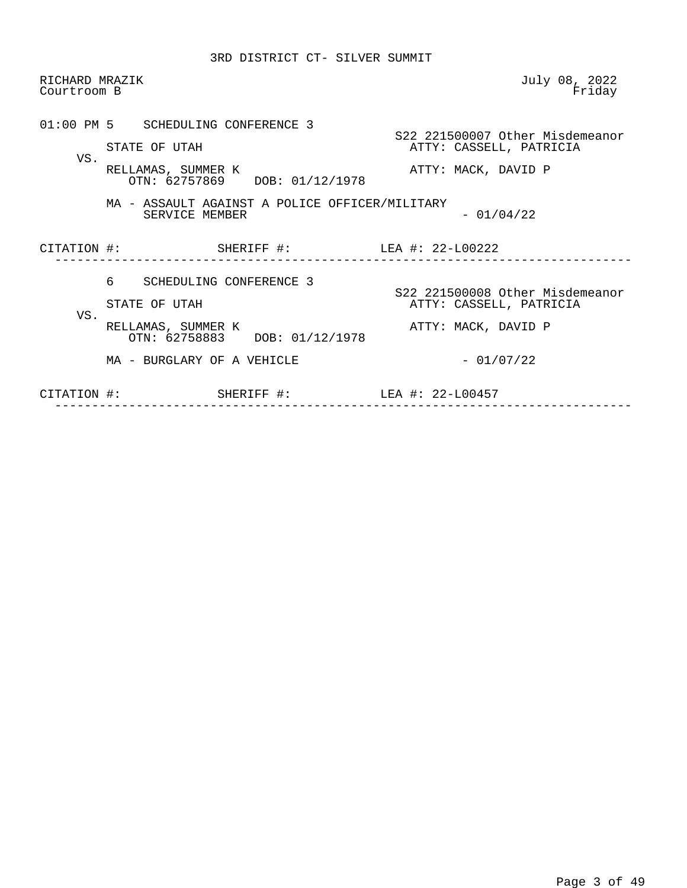| RICHARD MRAZIK<br>Courtroom B |                                                                                                            | July 08, 2022<br>Friday                                                           |
|-------------------------------|------------------------------------------------------------------------------------------------------------|-----------------------------------------------------------------------------------|
| VS.                           | 01:00 PM 5 SCHEDULING CONFERENCE 3<br>STATE OF UTAH<br>RELLAMAS, SUMMER K<br>OTN: 62757869 DOB: 01/12/1978 | S22 221500007 Other Misdemeanor<br>ATTY: CASSELL, PATRICIA<br>ATTY: MACK, DAVID P |
|                               | MA - ASSAULT AGAINST A POLICE OFFICER/MILITARY<br>SERVICE MEMBER                                           | $-01/04/22$                                                                       |
|                               | CITATION #: SHERIFF #: LEA #: 22-L00222                                                                    |                                                                                   |
| VS.                           | ნ —<br>SCHEDULING CONFERENCE 3<br>STATE OF UTAH<br>RELLAMAS, SUMMER K<br>OTN: 62758883 DOB: 01/12/1978     | S22 221500008 Other Misdemeanor<br>ATTY: CASSELL, PATRICIA<br>ATTY: MACK, DAVID P |
|                               | MA - BURGLARY OF A VEHICLE                                                                                 | $-01/07/22$                                                                       |
| CITATION #:                   |                                                                                                            |                                                                                   |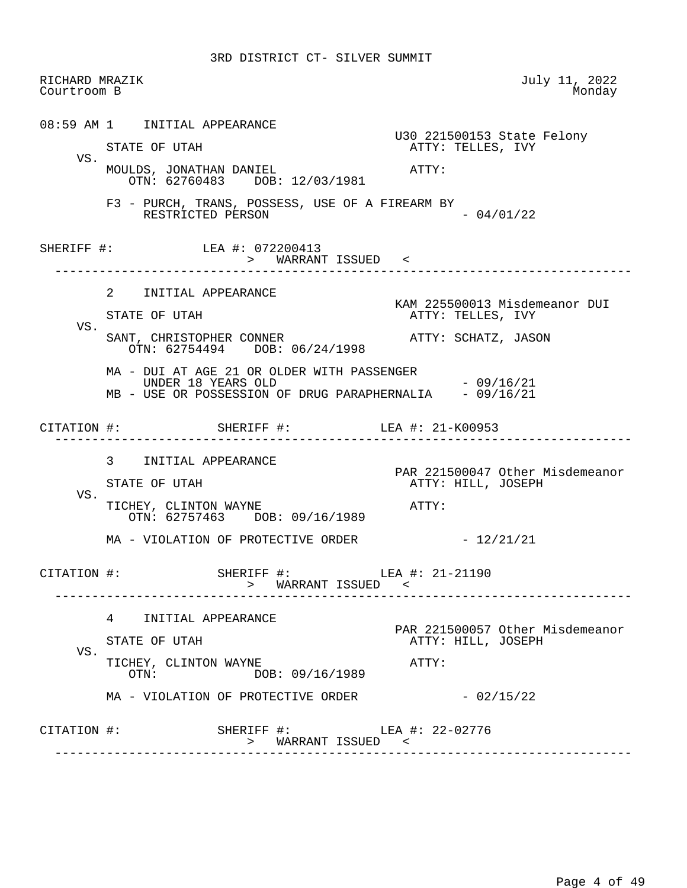| Courtroom B | RICHARD MRAZIK                                     |                                                                                  | July 11, 2022<br>Monday                                                |
|-------------|----------------------------------------------------|----------------------------------------------------------------------------------|------------------------------------------------------------------------|
|             | 08:59 AM 1 INITIAL APPEARANCE                      |                                                                                  | U30 221500153 State Felony                                             |
| VS.         | STATE OF UTAH                                      | MOULDS, JONATHAN DANIEL                                                          | ATTY: TELLES, IVY<br>ATTY:                                             |
|             | RESTRICTED PERSON                                  | OTN: 62760483 DOB: 12/03/1981<br>F3 - PURCH, TRANS, POSSESS, USE OF A FIREARM BY | $-04/01/22$                                                            |
|             | SHERIFF #: LEA #: 072200413<br>___________________ | > WARRANT ISSUED <                                                               |                                                                        |
|             | 2 INITIAL APPEARANCE                               |                                                                                  | KAM 225500013 Misdemeanor DUI                                          |
| VS.         | STATE OF UTAH                                      |                                                                                  | ATTY: TELLES, IVY                                                      |
|             |                                                    | SANT, CHRISTOPHER CONNER<br>OTN: 62754494 DOB: 06/24/1998                        | ATTY: SCHATZ, JASON                                                    |
|             | UNDER 18 YEARS OLD                                 | MA - DUI AT AGE 21 OR OLDER WITH PASSENGER                                       | $-09/16/21$<br>MB - USE OR POSSESSION OF DRUG PARAPHERNALIA - 09/16/21 |
|             |                                                    | CITATION #: SHERIFF #: LEA #: 21-K00953                                          |                                                                        |
|             |                                                    |                                                                                  |                                                                        |
|             | 3 INITIAL APPEARANCE<br>STATE OF UTAH              |                                                                                  | PAR 221500047 Other Misdemeanor<br>ATTY: HILL, JOSEPH                  |
| VS.         | TICHEY, CLINTON WAYNE                              | OTN: 62757463 DOB: 09/16/1989                                                    | $\mathtt{ATTY}$ :                                                      |
|             |                                                    | MA - VIOLATION OF PROTECTIVE ORDER                                               | $-12/21/21$                                                            |
|             |                                                    | CITATION $\#$ : SHERIFF $\#$ : LEA $\#$ : 21-21190<br>> WARRANT ISSUED <         |                                                                        |
|             | $4\degree$<br>INITIAL APPEARANCE                   |                                                                                  |                                                                        |
|             | STATE OF UTAH                                      |                                                                                  | ATTY: HILL, JOSEPH                                                     |
| VS.         | TICHEY, CLINTON WAYNE<br>$\text{OTN}$ :            | DOB: 09/16/1989                                                                  | ATTY:                                                                  |
|             |                                                    | MA - VIOLATION OF PROTECTIVE ORDER                                               | PAR 221500057 Other Misdemeanor<br>$-02/15/22$                         |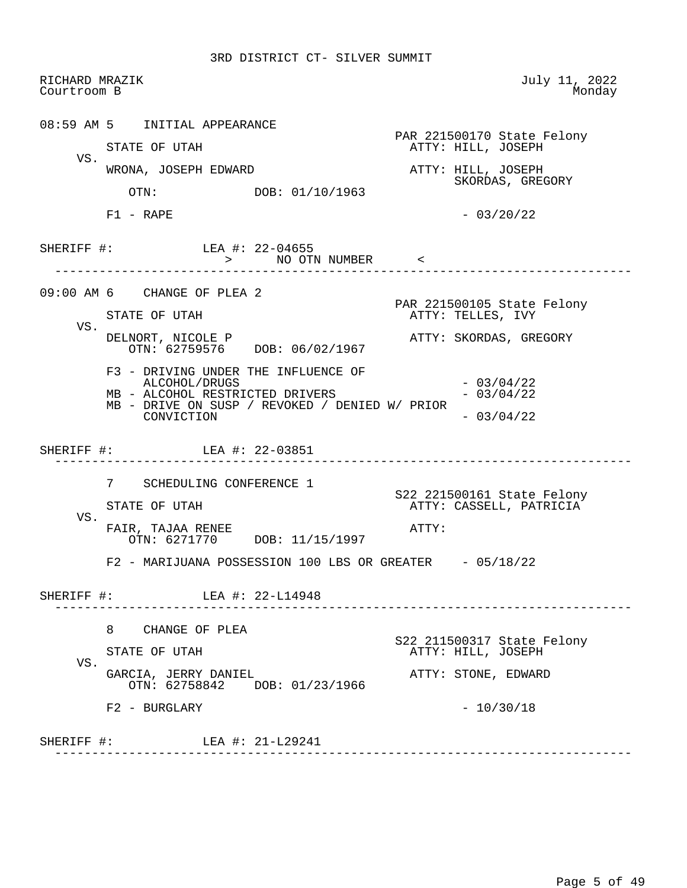RICHARD MRAZIK July 11, 2022<br>Courtroom B Monday Courtroom B 08:59 AM 5 INITIAL APPEARANCE PAR 221500170 State Felony<br>
PAR 221500170 State Felony<br>
ATTY: HILL, JOSEPH ATTY: HILL, JOSEPH VS. WRONA, JOSEPH EDWARD **ATTY: HILL, JOSEPH** OTN: DOB: 01/10/1963<br>CORP DOB: 01/10/1963 DOB: 01/10/1963  $F1 - RAPE$  - 03/20/22 SHERIFF #: LEA #: 22-04655 > NO OTN NUMBER < ------------------------------------------------------------------------------ 09:00 AM 6 CHANGE OF PLEA 2 PAR 221500105 State Felony ATTY: TELLES, IVY VS. DELNORT, NICOLE P ATTY: SKORDAS, GREGORY OTN: 62759576 DOB: 06/02/1967 F3 - DRIVING UNDER THE INFLUENCE OF ALCOHOL/DRUGS - 03/04/22<br>ALCOHOL RESTRICTED DRIVERS - 03/04/22 MB - ALCOHOL RESTRICTED DRIVERS MB - DRIVE ON SUSP / REVOKED / DENIED W/ PRIOR  $CONVICTION$  - 03/04/22 SHERIFF #: LEA #: 22-03851 ------------------------------------------------------------------------------ 7 SCHEDULING CONFERENCE 1 S22 221500161 State Felony ATTY: CASSELL, PATRICIA VS. FAIR, TAJAA RENEE ATTY: OTN: 6271770 DOB: 11/15/1997 F2 - MARIJUANA POSSESSION 100 LBS OR GREATER - 05/18/22 SHERIFF #: LEA #: 22-L14948 ------------------------------------------------------------------------------ 8 CHANGE OF PLEA S22 211500317 State Felony ATTY: HILL, JOSEPH VS. GARCIA, JERRY DANIEL **ATTY: STONE, EDWARD**  OTN: 62758842 DOB: 01/23/1966  $F2 - BURGLARY - 10/30/18$ SHERIFF #: LEA #: 21-L29241 ------------------------------------------------------------------------------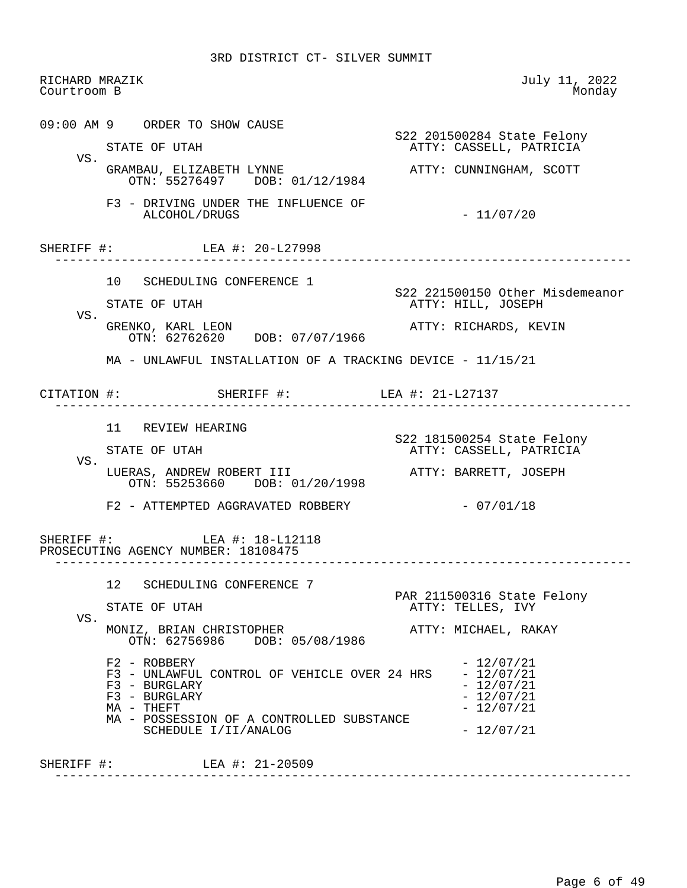| RICHARD MRAZIK<br>Courtroom B |                                                                                          | July 11, 2022<br>Monday                               |
|-------------------------------|------------------------------------------------------------------------------------------|-------------------------------------------------------|
|                               | 09:00 AM 9 ORDER TO SHOW CAUSE                                                           | S22 201500284 State Felony                            |
| VS.                           | STATE OF UTAH                                                                            | ATTY: CASSELL, PATRICIA                               |
|                               | GRAMBAU, ELIZABETH LYNNE<br>OTN: 55276497 DOB: 01/12/1984                                | ATTY: CUNNINGHAM, SCOTT                               |
|                               | F3 - DRIVING UNDER THE INFLUENCE OF<br>ALCOHOL/DRUGS                                     | $-11/07/20$                                           |
|                               | SHERIFF #: LEA #: 20-L27998                                                              |                                                       |
|                               | 10 SCHEDULING CONFERENCE 1                                                               |                                                       |
| VS.                           | STATE OF UTAH                                                                            | S22 221500150 Other Misdemeanor<br>ATTY: HILL, JOSEPH |
|                               | GRENKO, KARL LEON<br>OTN: 62762620 DOB: 07/07/1966                                       | ATTY: RICHARDS, KEVIN                                 |
|                               | MA - UNLAWFUL INSTALLATION OF A TRACKING DEVICE - 11/15/21                               |                                                       |
|                               |                                                                                          |                                                       |
|                               | 11 REVIEW HEARING                                                                        |                                                       |
|                               | STATE OF UTAH                                                                            | S22 181500254 State Felony<br>ATTY: CASSELL, PATRICIA |
| VS.                           | LUERAS, ANDREW ROBERT III<br>OTN: 55253660 DOB: 01/20/1998                               | ATTY: BARRETT, JOSEPH                                 |
|                               | F2 - ATTEMPTED AGGRAVATED ROBBERY                                                        | $-07/01/18$                                           |
|                               | SHERIFF #: LEA #: 18-L12118<br>PROSECUTING AGENCY NUMBER: 18108475                       |                                                       |
|                               | SCHEDULING CONFERENCE 7<br>12                                                            |                                                       |
|                               | STATE OF UTAH                                                                            | PAR 211500316 State Felony<br>ATTY: TELLES, IVY       |
| VS.                           | MONIZ, BRIAN CHRISTOPHER<br>OTN: 62756986 DOB: 05/08/1986                                | ATTY: MICHAEL, RAKAY                                  |
|                               | F2 - ROBBERY<br>F3 - UNLAWFUL CONTROL OF VEHICLE OVER 24 HRS - 12/07/21<br>F3 - BURGLARY | $-12/07/21$<br>$-12/07/21$<br>$-12/07/21$             |
|                               | F3 - BURGLARY<br>MA - THEFT                                                              | $-12/07/21$                                           |
|                               | MA - POSSESSION OF A CONTROLLED SUBSTANCE<br>SCHEDULE I/II/ANALOG                        | $-12/07/21$                                           |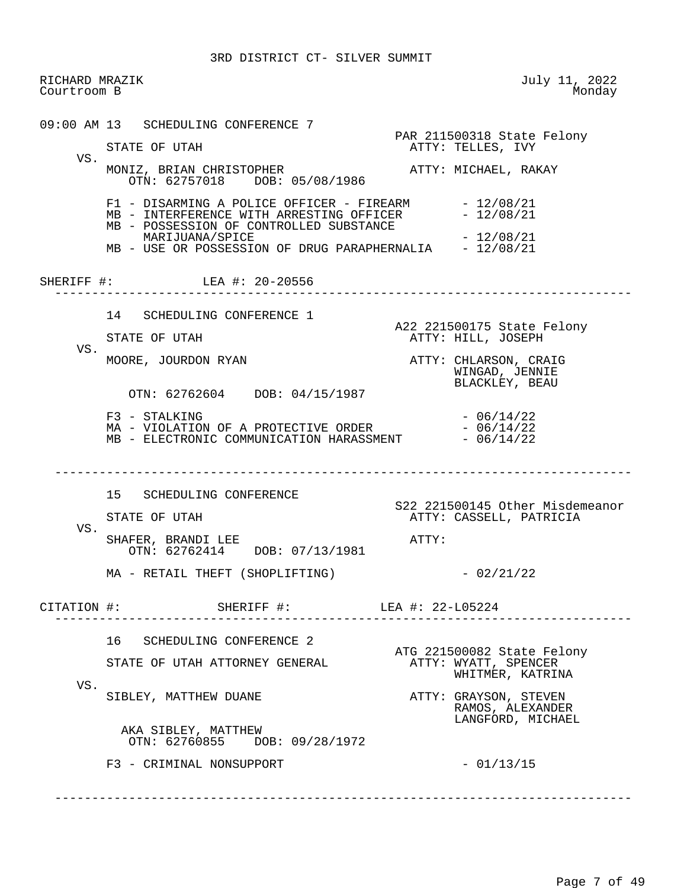RICHARD MRAZIK July 11, 2022<br>Courtroom B Monday Courtroom B 09:00 AM 13 SCHEDULING CONFERENCE 7 PAR 211500318 State Felony<br>
PAR 211500318 State Felony<br>
ATTY: TELLES, IVY ATTY: TELLES, IVY VS. MONIZ, BRIAN CHRISTOPHER ATTY: MICHAEL, RAKAY OTN: 62757018 DOB: 05/08/1986 F1 - DISARMING A POLICE OFFICER - FIREARM - 12/08/21<br>MB - INTERFERENCE WITH ARRESTING OFFICER - 12/08/21 MB - INTERFERENCE WITH ARRESTING OFFICER MB - POSSESSION OF CONTROLLED SUBSTANCE MARIJUANA/SPICE  $- 12/08/21$ MB - USE OR POSSESSION OF DRUG PARAPHERNALIA - 12/08/21 SHERIFF #: LEA #: 20-20556 ------------------------------------------------------------------------------ 14 SCHEDULING CONFERENCE 1 A22 221500175 State Felony<br>ATTY: HILL, JOSEPH RITE OF UTAH ATTY: HILL, JOSEPH VS. MOORE, JOURDON RYAN ATTY: CHLARSON, CRAIG WINGAD, JENNIE BLACKLEY, BEAU OTN: 62762604 DOB: 04/15/1987  $F3 - STALKING - 06/14/22$  $MA - VIOLATION OF A PROTECTIVE ORDER - 06/14/22$ MB - ELECTRONIC COMMUNICATION HARASSMENT - 06/14/22 ------------------------------------------------------------------------------ 15 SCHEDULING CONFERENCE S22 221500145 Other Misdemeanor ATTY: CASSELL, PATRICIA VS. SHAFER, BRANDI LEE ATTY: OTN: 62762414 DOB: 07/13/1981  $MA - RETAIL THEFT (SHOPLIFTING)$  - 02/21/22 CITATION #: SHERIFF #: LEA #: 22-L05224 ------------------------------------------------------------------------------ 16 SCHEDULING CONFERENCE 2 ATG 221500082 State Felony<br>ATTY: WYATT, SPENCER STATE OF UTAH ATTORNEY GENERAL WHITMER, KATRINA VS. SIBLEY, MATTHEW DUANE **ATTY: GRAYSON, STEVEN**  RAMOS, ALEXANDER LANGFORD, MICHAEL AKA SIBLEY, MATTHEW OTN: 62760855 DOB: 09/28/1972  $F3 - CRIMINAL$  NONSUPPORT  $-01/13/15$ ------------------------------------------------------------------------------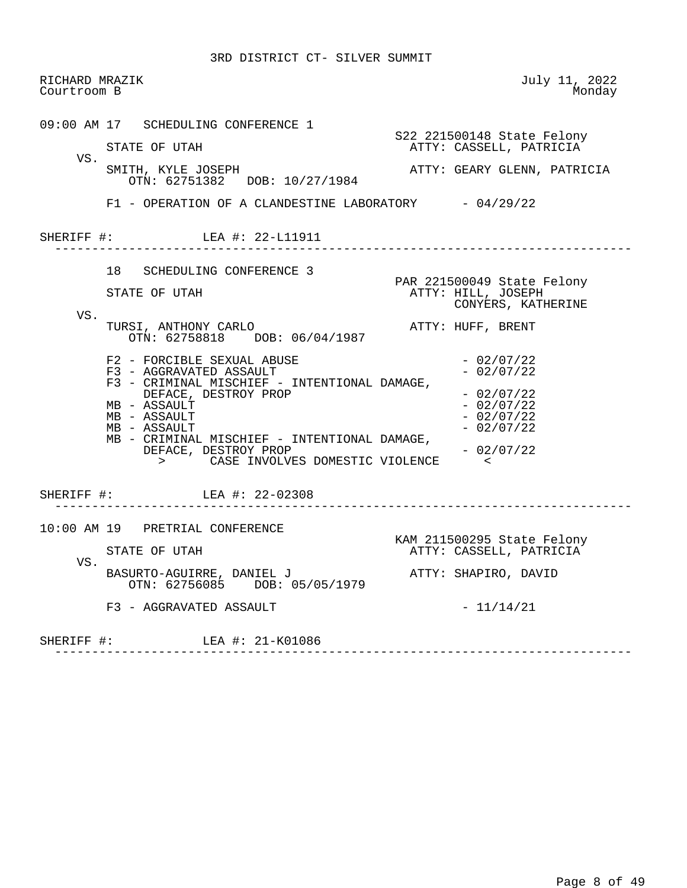| RICHARD MRAZIK<br>Courtroom B |                                                                                                                                                                                                                                                                                                                                                                                                  | July 11, 2022<br>Monday                                                                                                                                                                                                                           |
|-------------------------------|--------------------------------------------------------------------------------------------------------------------------------------------------------------------------------------------------------------------------------------------------------------------------------------------------------------------------------------------------------------------------------------------------|---------------------------------------------------------------------------------------------------------------------------------------------------------------------------------------------------------------------------------------------------|
| VS.                           | 09:00 AM 17 SCHEDULING CONFERENCE 1<br>STATE OF UTAH<br>SMITH, KYLE JOSEPH<br>OTN: 62751382 DOB: 10/27/1984<br>$F1$ - OPERATION OF A CLANDESTINE LABORATORY $-04/29/22$<br>SHERIFF #: LEA #: 22-L11911                                                                                                                                                                                           | S22 221500148 State Felony<br>ATTY: CASSELL, PATRICIA<br>ATTY: GEARY GLENN, PATRICIA                                                                                                                                                              |
| VS.                           | 18 SCHEDULING CONFERENCE 3<br>STATE OF UTAH<br>TURSI, ANTHONY CARLO<br>OTN: 62758818 DOB: 06/04/1987<br>F2 - FORCIBLE SEXUAL ABUSE<br>F3 - AGGRAVATED ASSAULT<br>F3 - CRIMINAL MISCHIEF - INTENTIONAL DAMAGE,<br>DEFACE, DESTROY PROP<br>MB - ASSAULT<br>MB - ASSAULT<br>MB - ASSAULT<br>MB - CRIMINAL MISCHIEF - INTENTIONAL DAMAGE,<br>DEFACE, DESTROY PROP<br>CASE INVOLVES DOMESTIC VIOLENCE | ------------------------<br>PAR 221500049 State Felony<br>ATTY: HILL, JOSEPH<br>CONYERS, KATHERINE<br>ATTY: HUFF, BRENT<br>$-02/07/22$<br>$-02/07/22$<br>$-02/07/22$<br>$-02/07/22$<br>$-02/07/22$<br>$-02/07/22$<br>$-02/07/22$<br>$\sim$ $\sim$ |
|                               | SHERIFF #: LEA #: 22-02308                                                                                                                                                                                                                                                                                                                                                                       |                                                                                                                                                                                                                                                   |
| VS.                           | 10:00 AM 19 PRETRIAL CONFERENCE<br>STATE OF UTAH<br>BASURTO-AGUIRRE, DANIEL J<br>OTN: 62756085 DOB: 05/05/1979<br>F3 - AGGRAVATED ASSAULT                                                                                                                                                                                                                                                        | KAM 211500295 State Felony<br>ATTY: CASSELL, PATRICIA<br>ATTY: SHAPIRO, DAVID<br>- 11/14/21                                                                                                                                                       |
|                               | SHERIFF #: LEA #: 21-K01086                                                                                                                                                                                                                                                                                                                                                                      |                                                                                                                                                                                                                                                   |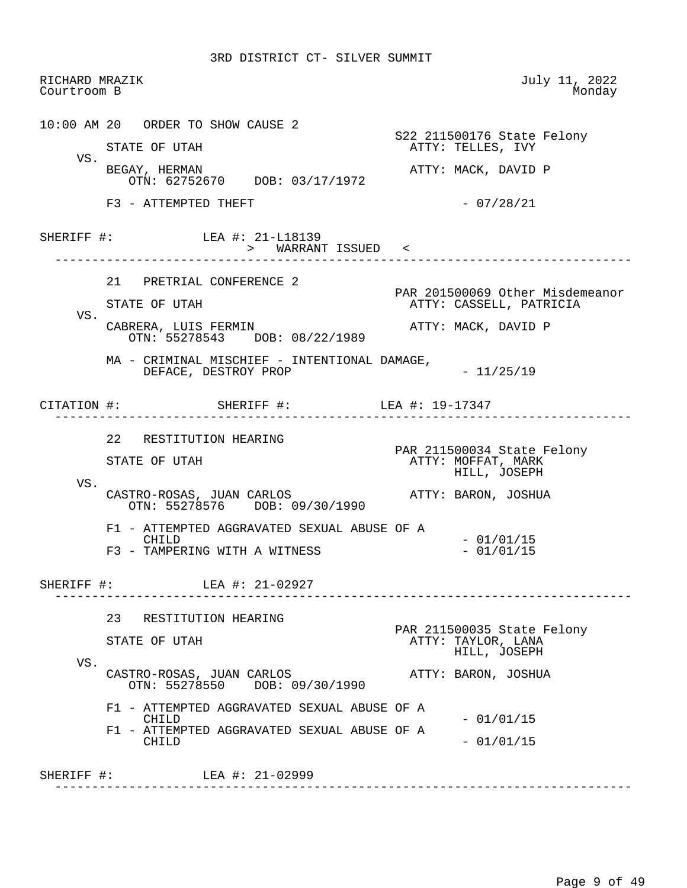RICHARD MRAZIK July 11, 2022<br>Courtroom B Monday Courtroom B 10:00 AM 20 ORDER TO SHOW CAUSE 2 STATE OF UTAH STATE SERIES ARE STATE OF UTAH STATE STATE OF UTAH ATTY: TELLES, IVY VS.<br>BEGAY, HERMAN ATTY: MACK, DAVID P OTN: 62752670 DOB: 03/17/1972  $F3$  - ATTEMPTED THEFT  $-$  07/28/21 SHERIFF #: LEA #: 21-L18139 > WARRANT ISSUED < ------------------------------------------------------------------------------ 21 PRETRIAL CONFERENCE 2 PAR 201500069 Other Misdemeanor<br>ATTY: CASSELL, PATRICIA ATTY: CASSELL, PATRICIA VS. CABRERA, LUIS FERMIN ATTY: MACK, DAVID P OTN: 55278543 DOB: 08/22/1989 MA - CRIMINAL MISCHIEF - INTENTIONAL DAMAGE, DEFACE, DESTROY PROP  $-11/25/19$  CITATION #: SHERIFF #: LEA #: 19-17347 ------------------------------------------------------------------------------ 22 RESTITUTION HEARING PAR 211500034 State Felony ATTY: MOFFAT, MARK HILL, JOSEPH VS. CASTRO-ROSAS, JUAN CARLOS ATTY: BARON, JOSHUA OTN: 55278576 DOB: 09/30/1990 F1 - ATTEMPTED AGGRAVATED SEXUAL ABUSE OF A CHILD - 01/01/15<br>TAMPERING WITH A WITNESS - - 01/01/15 F3 - TAMPERING WITH A WITNESS SHERIFF #: LEA #: 21-02927 ------------------------------------------------------------------------------ 23 RESTITUTION HEARING PAR 211500035 State Felony<br>
PAR 211500035 State Felony<br>
ATTY: TAYLOR, LANA ATTY: TAYLOR, LANA HILL, JOSEPH VS. CASTRO-ROSAS, JUAN CARLOS ATTY: BARON, JOSHUA OTN: 55278550 DOB: 09/30/1990 F1 - ATTEMPTED AGGRAVATED SEXUAL ABUSE OF A CHILD  $-01/01/15$  F1 - ATTEMPTED AGGRAVATED SEXUAL ABUSE OF A CHILD - 01/01/15 SHERIFF #: LEA #: 21-02999 ------------------------------------------------------------------------------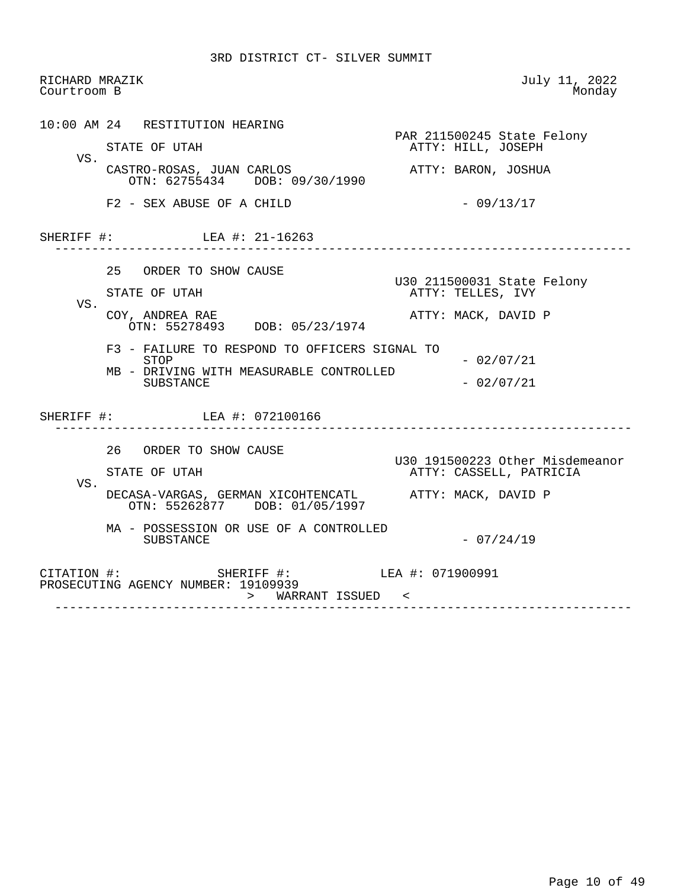| RICHARD MRAZIK<br>Courtroom B |                                                                                         | July 11, 2022<br>Monday                          |
|-------------------------------|-----------------------------------------------------------------------------------------|--------------------------------------------------|
|                               | 10:00 AM 24 RESTITUTION HEARING                                                         |                                                  |
| VS.                           | STATE OF UTAH                                                                           | PAR 211500245 State Felony<br>ATTY: HILL, JOSEPH |
|                               | CASTRO-ROSAS, JUAN CARLOS<br>OTN: 62755434 DOB: 09/30/1990                              | ATTY: BARON, JOSHUA                              |
|                               | F2 - SEX ABUSE OF A CHILD                                                               | $-09/13/17$                                      |
|                               | SHERIFF #: LEA #: 21-16263                                                              |                                                  |
|                               | 25 ORDER TO SHOW CAUSE                                                                  |                                                  |
|                               | STATE OF UTAH                                                                           | U30 211500031 State Felony<br>ATTY: TELLES, IVY  |
| VS.                           | COY, ANDREA RAE<br>OTN: 55278493 DOB: 05/23/1974                                        | ATTY: MACK, DAVID P                              |
|                               | F3 - FAILURE TO RESPOND TO OFFICERS SIGNAL TO<br>STOP                                   | $-02/07/21$                                      |
|                               | MB - DRIVING WITH MEASURABLE CONTROLLED<br><b>SUBSTANCE</b>                             | $-02/07/21$                                      |
|                               | SHERIFF #: LEA #: 072100166                                                             | _______________________________                  |
|                               | 26 ORDER TO SHOW CAUSE                                                                  | U30 191500223 Other Misdemeanor                  |
|                               | STATE OF UTAH                                                                           | ATTY: CASSELL, PATRICIA                          |
| VS.                           | DECASA-VARGAS, GERMAN XICOHTENCATL ATTY: MACK, DAVID P<br>OTN: 55262877 DOB: 01/05/1997 |                                                  |
|                               | MA - POSSESSION OR USE OF A CONTROLLED<br>SUBSTANCE                                     | $-07/24/19$                                      |
|                               | CITATION #: SHERIFF #: LEA #: 071900991<br>PROSECUTING AGENCY NUMBER: 19109939          |                                                  |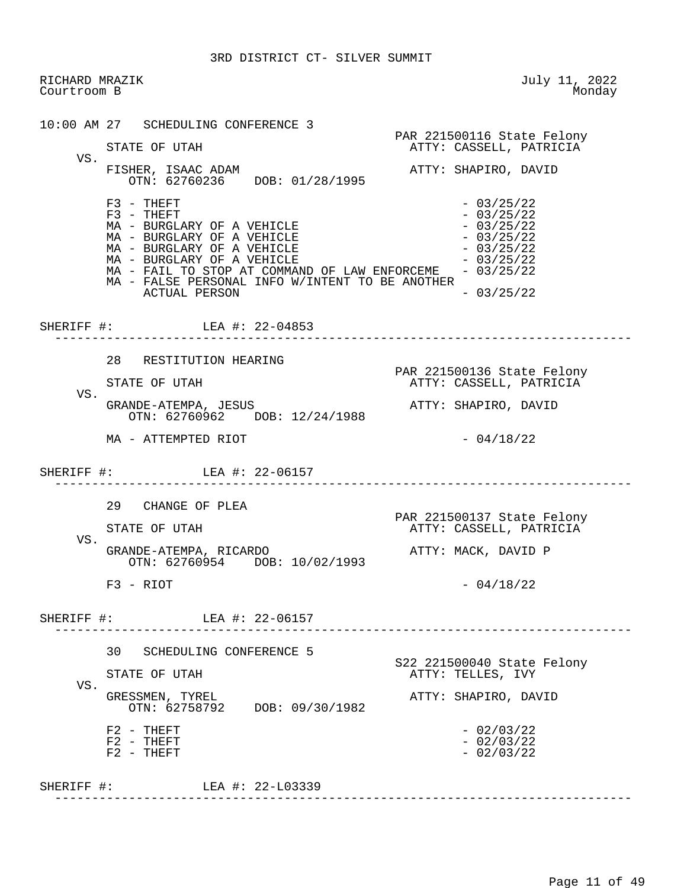RICHARD MRAZIK July 11, 2022<br>Courtroom B Monday Courtroom B 10:00 AM 27 SCHEDULING CONFERENCE 3 PAR 221500116 State Felony<br>
PAR 221500116 State Felony<br>
ATTY: CASSELL, PATRICIA ATTY: CASSELL, PATRICIA VS. FISHER, ISAAC ADAM **ATTY: SHAPIRO, DAVID**  OTN: 62760236 DOB: 01/28/1995  $F3 - THEFT$ <br> $F3 - THEFT$  - 03/25/22  $- 03/25/22$ <br> $- 03/25/22$  $MA - BURGLARY OF A VEHICLE$  - 03/25/22<br>  $MA - BURGLARY OF A VEHICLE$  - 03/25/22  $MA - BURGLARY OF A VEHICLE -  $03/25/22$$  $MA - BURGLARY OF A VEHICLE -  $03/25/22$$  $MA - BURGLARY OF A VEHICLE -  $03/25/22$$ MA - FAIL TO STOP AT COMMAND OF LAW ENFORCEME - 03/25/22 MA - FALSE PERSONAL INFO W/INTENT TO BE ANOTHER  $\text{ACTUAL}$  PERSON  $-03/25/22$ SHERIFF #: LEA #: 22-04853 ------------------------------------------------------------------------------ 28 RESTITUTION HEARING PAR 221500136 State Felony ATTY: CASSELL, PATRICIA VS.<br>GRANDE-ATEMPA, JESUS ATTY: SHAPIRO, DAVID OTN: 62760962 DOB: 12/24/1988  $MA - ATTEMPTED RIOT$  - 04/18/22 SHERIFF #: LEA #: 22-06157 ------------------------------------------------------------------------------ 29 CHANGE OF PLEA PAR 221500137 State Felony ATTY: CASSELL, PATRICIA VS. GRANDE-ATEMPA, RICARDO ATTY: MACK, DAVID P OTN: 62760954 DOB: 10/02/1993  $F3 - RIOT$  - 04/18/22 SHERIFF #: LEA #: 22-06157 ------------------------------------------------------------------------------ 30 SCHEDULING CONFERENCE 5 STATE OF UTAH STATE SERVICES A SAMPLE STATE OF UTAH ATTY: TELLES, IVY VS.<br>GRESSMEN, TYREL ATTY: SHAPIRO, DAVID OTN: 62758792 DOB: 09/30/1982  $F2 - THEFT$ <br> $F2 - THEFT$  - 02/03/22<br> $-$  02/03/22  $F2 - THEFT$ <br> $F2 - THEFT$  - 02/03/22<br> $F2 - THEFT$  - 02/03/22  $F2 - THEFT$ SHERIFF #: LEA #: 22-L03339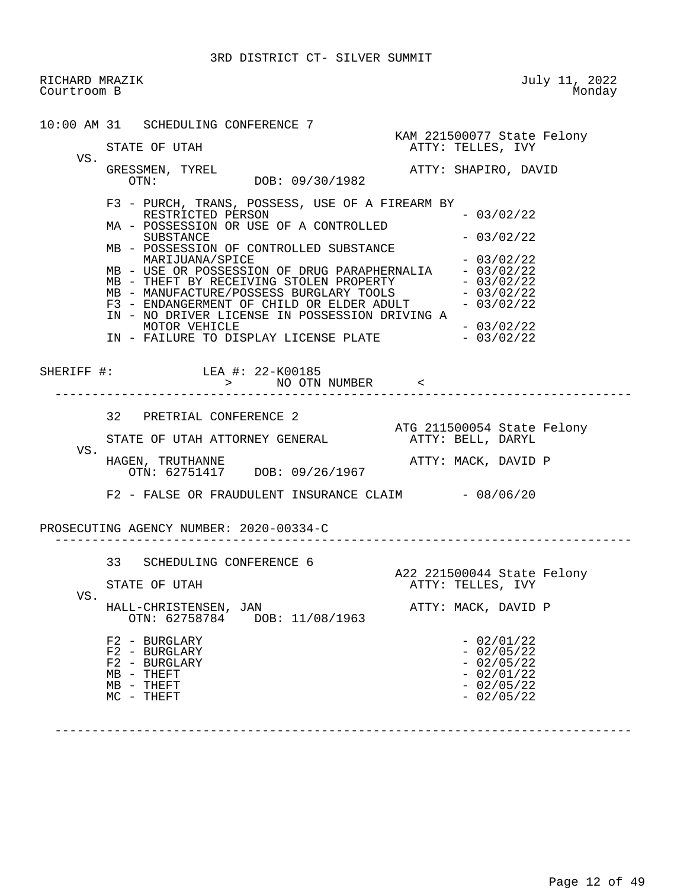RICHARD MRAZIK July 11, 2022<br>Courtroom B Monday Courtroom B 10:00 AM 31 SCHEDULING CONFERENCE 7 KAM 221500077 State Felony ATTY: TELLES, IVY VS. GRESSMEN, TYREL ATTY: SHAPIRO, DAVID DOB: 09/30/1982 F3 - PURCH, TRANS, POSSESS, USE OF A FIREARM BY RESTRICTED PERSON - 03/02/22 MA - POSSESSION OR USE OF A CONTROLLED  $SUBSTATE$   $- 03/02/22$  MB - POSSESSION OF CONTROLLED SUBSTANCE MARIJUANA/SPICE  $- 03/02/22$ MB - USE OR POSSESSION OF DRUG PARAPHERNALIA - 03/02/22 MB - THEFT BY RECEIVING STOLEN PROPERTY - 03/02/22 MB - MANUFACTURE/POSSESS BURGLARY TOOLS - 03/02/22  $F3$  - ENDANGERMENT OF CHILD OR ELDER ADULT  $-03/02/22$ IN - NO DRIVER LICENSE IN POSSESSION DRIVING A<br>MOTOR VEHICLE - 03/02/22 MOTOR VEHICLE - 03/02/22 IN - FAILURE TO DISPLAY LICENSE PLATE SHERIFF #: LEA #: 22-K00185 > NO OTN NUMBER < ------------------------------------------------------------------------------ 32 PRETRIAL CONFERENCE 2 ATG 211500054 State Felony<br>ATTY: BELL, DARYL STATE OF UTAH ATTORNEY GENERAL VS.<br>HAGEN, TRUTHANNE ATTY: MACK, DAVID P OTN: 62751417 DOB: 09/26/1967 F2 - FALSE OR FRAUDULENT INSURANCE CLAIM - 08/06/20 PROSECUTING AGENCY NUMBER: 2020-00334-C ------------------------------------------------------------------------------ 33 SCHEDULING CONFERENCE 6 A22 221500044 State Felony<br>ATTY: TELLES, IVY ATTY: TELLES, IVY VS. HALL-CHRISTENSEN, JAN ATTY: MACK, DAVID P OTN: 62758784 DOB: 11/08/1963  $F2 - BURGLARY$ <br> $F2 - BURGLARY - 02/01/22$  $F2 - BURGLARY$ <br> $F2 - BURGLARY - 02/05/22$  $F2 - BURGLARY$ <br>
MB - THEFT<br>  $- 02/01/22$  $MB - THEFT$  - 02/01/22<br>  $MB - THEFT$  - 02/05/22  $MB - THEFT$ <br>  $MC - THEFT$  - 02/05/22<br>  $MC - THEFT$  - 02/05/22  $MC - THEFT$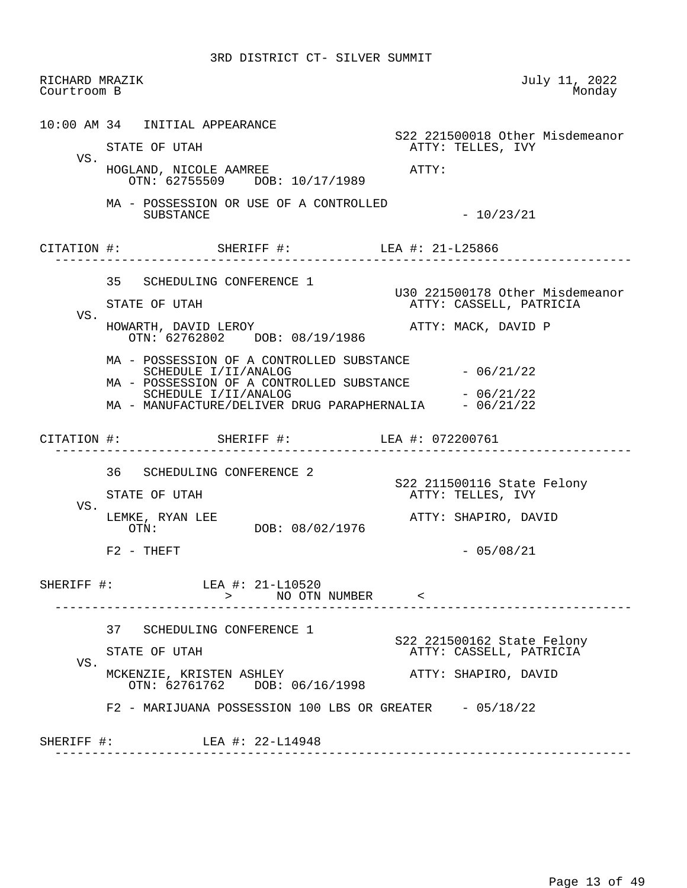| Courtroom B | RICHARD MRAZIK |                                                                                                                |       | July 11, 2022<br>Monday                                    |
|-------------|----------------|----------------------------------------------------------------------------------------------------------------|-------|------------------------------------------------------------|
|             |                | 10:00 AM 34 INITIAL APPEARANCE                                                                                 |       | S22 221500018 Other Misdemeanor                            |
|             |                | STATE OF UTAH                                                                                                  |       | ATTY: TELLES, IVY                                          |
| VS.         |                | HOGLAND, NICOLE AAMREE<br>OTN: 62755509 DOB: 10/17/1989                                                        | ATTY: |                                                            |
|             |                | MA - POSSESSION OR USE OF A CONTROLLED<br>SUBSTANCE                                                            |       | $-10/23/21$                                                |
|             |                | CITATION #: SHERIFF #: LEA #: 21-L25866<br>____________________                                                |       |                                                            |
|             |                | 35 SCHEDULING CONFERENCE 1                                                                                     |       |                                                            |
|             |                | STATE OF UTAH                                                                                                  |       | U30 221500178 Other Misdemeanor<br>ATTY: CASSELL, PATRICIA |
| VS.         |                | HOWARTH, DAVID LEROY<br>OTN: 62762802 DOB: 08/19/1986                                                          |       | ATTY: MACK, DAVID P                                        |
|             |                | MA - POSSESSION OF A CONTROLLED SUBSTANCE<br>SCHEDULE I/II/ANALOG<br>MA - POSSESSION OF A CONTROLLED SUBSTANCE |       | $-06/21/22$                                                |
|             |                | SCHEDULE I/II/ANALOG                                                                                           |       | $-06/21/22$                                                |
|             |                | MA - MANUFACTURE/DELIVER DRUG PARAPHERNALIA - 06/21/22                                                         |       |                                                            |
|             |                | CITATION #: SHERIFF #: LEA #: 072200761<br>_____________________                                               |       |                                                            |
|             |                |                                                                                                                |       |                                                            |
|             |                | 36 SCHEDULING CONFERENCE 2<br>STATE OF UTAH                                                                    |       | S22 211500116 State Felony<br>ATTY: TELLES, IVY            |
| VS.         |                | LEMKE, RYAN LEE<br>OTN: DOB: 08/02/1976                                                                        |       | ATTY: SHAPIRO, DAVID                                       |
|             |                | $F2 - THEFT$                                                                                                   |       | $-05/08/21$                                                |
| SHERIFF #:  |                | LEA #: 21-L10520<br>> NO OTN NUMBER <                                                                          |       |                                                            |
|             |                | 37 SCHEDULING CONFERENCE 1                                                                                     |       |                                                            |
|             |                | STATE OF UTAH                                                                                                  |       | S22 221500162 State Felony<br>ATTY: CASSELL, PATRICIA      |
| VS.         |                | MCKENZIE, KRISTEN ASHLEY<br>OTN: 62761762 DOB: 06/16/1998                                                      |       | ATTY: SHAPIRO, DAVID                                       |
|             |                | $F2$ - MARIJUANA POSSESSION 100 LBS OR GREATER $-05/18/22$                                                     |       |                                                            |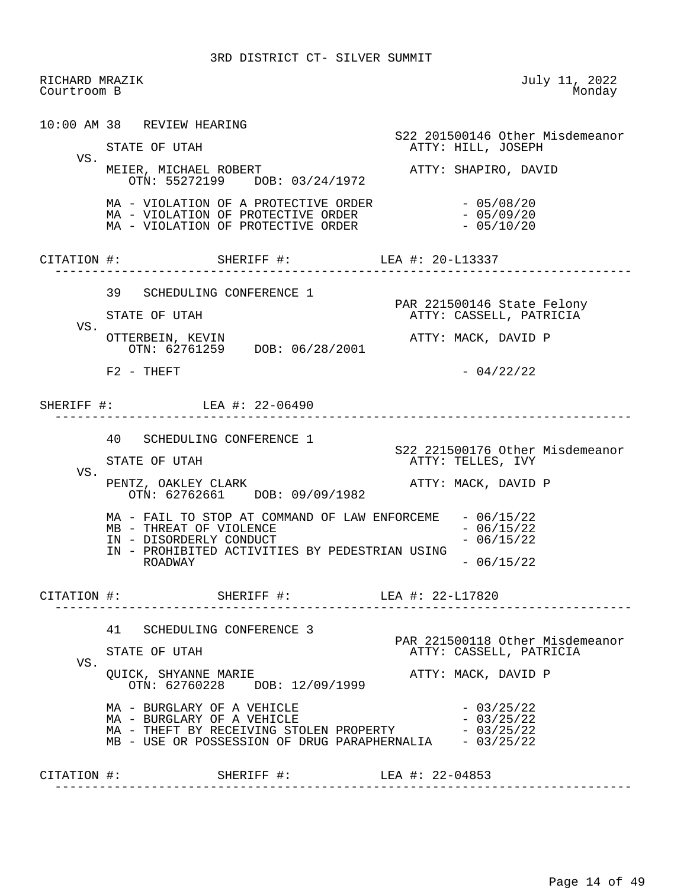RICHARD MRAZIK July 11, 2022<br>Courtroom B Monday Courtroom B 10:00 AM 38 REVIEW HEARING S22 201500146 Other Misdemeanor ATTY: HILL, JOSEPH VS. MEIER, MICHAEL ROBERT ATTY: SHAPIRO, DAVID OTN: 55272199 DOB: 03/24/1972 MA - VIOLATION OF A PROTECTIVE ORDER - 05/08/20  $MA - VIOLATION OF PROTECTIVE ORDER - 05/09/20  
\n $MA - VIOLATION OF PROTECTIVE ORDER - 05/10/20$$ MA - VIOLATION OF PROTECTIVE ORDER CITATION #: SHERIFF #: LEA #: 20-L13337 ------------------------------------------------------------------------------ 39 SCHEDULING CONFERENCE 1 PAR 221500146 State Felony<br>FTATE OF UTAH TELL STATE ASSELL, PATRICIA ATTY: CASSELL, PATRICIA VS.<br>OTTERBEIN, KEVIN ATTY: MACK, DAVID P OTN: 62761259 DOB: 06/28/2001  $F2 - THEFT$  - 04/22/22 SHERIFF #: LEA #: 22-06490 ------------------------------------------------------------------------------ 40 SCHEDULING CONFERENCE 1 S22 221500176 Other Misdemeanor ATTY: TELLES, IVY VS. PENTZ, OAKLEY CLARK ATTY: MACK, DAVID P OTN: 62762661 DOB: 09/09/1982 MA - FAIL TO STOP AT COMMAND OF LAW ENFORCEME - 06/15/22<br>MB - THREAT OF VIOLENCE  $MB$  - THREAT OF VIOLENCE<br>  $IN$  - DISORDERLY CONDUCT - 06/15/22 IN - DISORDERLY CONDUCT IN - PROHIBITED ACTIVITIES BY PEDESTRIAN USING  $-06/15/22$  CITATION #: SHERIFF #: LEA #: 22-L17820 ------------------------------------------------------------------------------ 41 SCHEDULING CONFERENCE 3 PAR 221500118 Other Misdemeanor<br>ATTY: CASSELL, PATRICIA ATTY: CASSELL, PATRICIA VS. QUICK, SHYANNE MARIE ATTY: MACK, DAVID P OTN: 62760228 DOB: 12/09/1999  $\text{MA}$  - BURGLARY OF A VEHICLE  $\text{MA}$  - 03/25/22<br> $\text{MA}$  - BURGLARY OF A VEHICLE  $MA - BURGLARY OF A VEHICLE -  $03/25/22$$ MA - THEFT BY RECEIVING STOLEN PROPERTY - 03/25/22 MB - USE OR POSSESSION OF DRUG PARAPHERNALIA - 03/25/22 CITATION #: SHERIFF #: LEA #: 22-04853 ------------------------------------------------------------------------------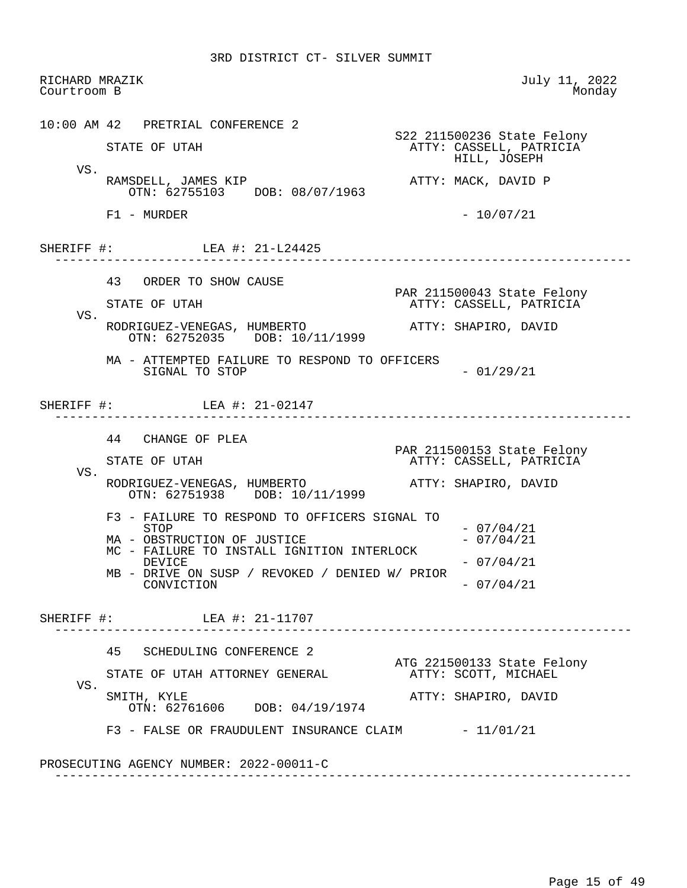RICHARD MRAZIK July 11, 2022<br>Courtroom B Monday Courtroom B 10:00 AM 42 PRETRIAL CONFERENCE 2 S22 211500236 State Felony ATTY: CASSELL, PATRICIA HILL, JOSEPH VS. RAMSDELL, JAMES KIP **ATTY: MACK, DAVID P**  OTN: 62755103 DOB: 08/07/1963  $F1 - MURDER$  - 10/07/21 SHERIFF #: LEA #: 21-L24425 ------------------------------------------------------------------------------ 43 ORDER TO SHOW CAUSE PAR 211500043 State Felony<br>PAR 211500043 State Felony<br>ATTY: CASSELL, PATRICIA ATTY: CASSELL, PATRICIA VS. RODRIGUEZ-VENEGAS, HUMBERTO ATTY: SHAPIRO, DAVID OTN: 62752035 DOB: 10/11/1999 MA - ATTEMPTED FAILURE TO RESPOND TO OFFICERS  $SIGNAL$  TO  $STOP$  - 01/29/21 SHERIFF #: LEA #: 21-02147 ------------------------------------------------------------------------------ 44 CHANGE OF PLEA PAR 211500153 State Felony ATTY: CASSELL, PATRICIA VS. RODRIGUEZ-VENEGAS, HUMBERTO ATTY: SHAPIRO, DAVID OTN: 62751938 DOB: 10/11/1999 F3 - FAILURE TO RESPOND TO OFFICERS SIGNAL TO  $-07/04/21$  $MA - OBSTRUCTION OF JUSTICE$   $- 07/04/21$ MC - FAILURE TO INSTALL IGNITION INTERLOCK<br>DEVICE  $-07/04/21$  MB - DRIVE ON SUSP / REVOKED / DENIED W/ PRIOR  $-07/04/21$  SHERIFF #: LEA #: 21-11707 ------------------------------------------------------------------------------ 45 SCHEDULING CONFERENCE 2 ATG 221500133 State Felony<br>ATTY: SCOTT, MICHAEL STATE OF UTAH ATTORNEY GENERAL VS.<br>SMITH, KYLE ATTY: SHAPIRO, DAVID OTN: 62761606 DOB: 04/19/1974  $F3$  - FALSE OR FRAUDULENT INSURANCE CLAIM  $-11/01/21$  PROSECUTING AGENCY NUMBER: 2022-00011-C ------------------------------------------------------------------------------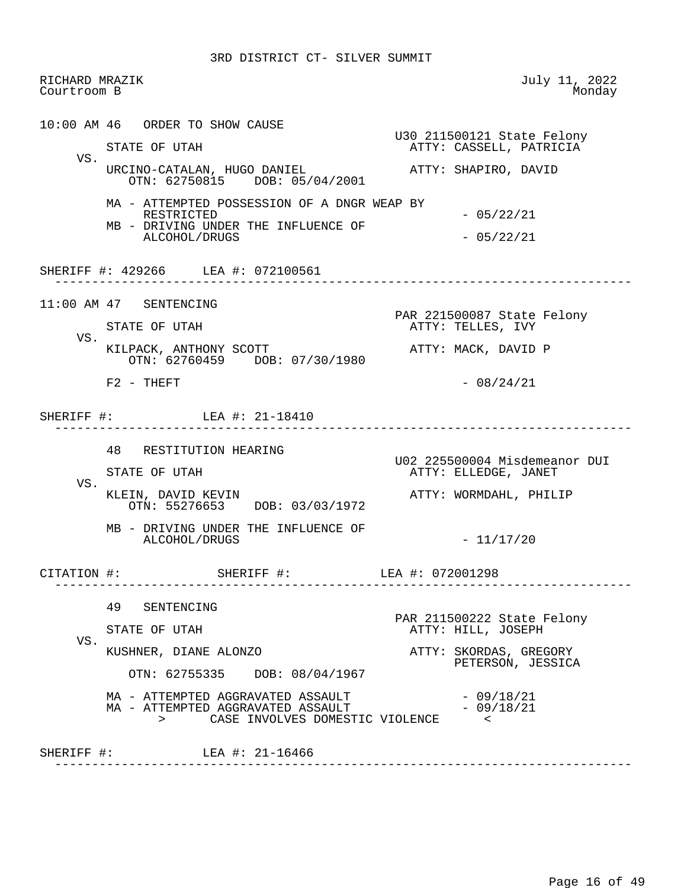| RICHARD MRAZIK<br>Courtroom B |                                                                                                  | July 11, 2022<br>Monday                          |
|-------------------------------|--------------------------------------------------------------------------------------------------|--------------------------------------------------|
|                               | 10:00 AM 46 ORDER TO SHOW CAUSE                                                                  | U30 211500121 State Felony                       |
|                               | STATE OF UTAH                                                                                    | ATTY: CASSELL, PATRICIA                          |
| VS.                           | URCINO-CATALAN, HUGO DANIEL<br>OTN: 62750815 DOB: 05/04/2001                                     | ATTY: SHAPIRO, DAVID                             |
|                               | MA - ATTEMPTED POSSESSION OF A DNGR WEAP BY<br>RESTRICTED<br>MB - DRIVING UNDER THE INFLUENCE OF | $-05/22/21$                                      |
|                               | ALCOHOL/DRUGS                                                                                    | $-05/22/21$                                      |
|                               | SHERIFF #: 429266 LEA #: 072100561                                                               | ______________________________                   |
|                               | 11:00 AM 47 SENTENCING                                                                           |                                                  |
| VS.                           | STATE OF UTAH                                                                                    | PAR 221500087 State Felony<br>ATTY: TELLES, IVY  |
|                               | KILPACK, ANTHONY SCOTT<br>OTN: 62760459 DOB: 07/30/1980                                          | ATTY: MACK, DAVID P                              |
|                               | $F2 - THEFT$                                                                                     | $-08/24/21$                                      |
|                               | SHERIFF #: LEA #: 21-18410<br>48 RESTITUTION HEARING                                             | U02 225500004 Misdemeanor DUI                    |
| VS.                           | STATE OF UTAH                                                                                    | ATTY: ELLEDGE, JANET                             |
|                               | KLEIN, DAVID KEVIN<br>OTN: 55276653 DOB: 03/03/1972                                              | ATTY: WORMDAHL, PHILIP                           |
|                               | MB - DRIVING UNDER THE INFLUENCE OF<br>ALCOHOL/DRUGS                                             | $-11/17/20$                                      |
| CITATION #:                   | SHERIFF #: LEA #: 072001298                                                                      |                                                  |
|                               | 49<br>SENTENCING                                                                                 |                                                  |
|                               | STATE OF UTAH                                                                                    | PAR 211500222 State Felony<br>ATTY: HILL, JOSEPH |
| VS.                           | KUSHNER, DIANE ALONZO                                                                            | ATTY: SKORDAS, GREGORY<br>PETERSON, JESSICA      |
|                               | OTN: 62755335 DOB: 08/04/1967                                                                    |                                                  |
|                               | MA - ATTEMPTED AGGRAVATED ASSAULT                                                                | $-09/18/21$                                      |
|                               | MA - ATTEMPTED AGGRAVATED ASSAULT<br>CASE INVOLVES DOMESTIC VIOLENCE<br>$\geq$                   | $-09/18/21$<br>$\prec$                           |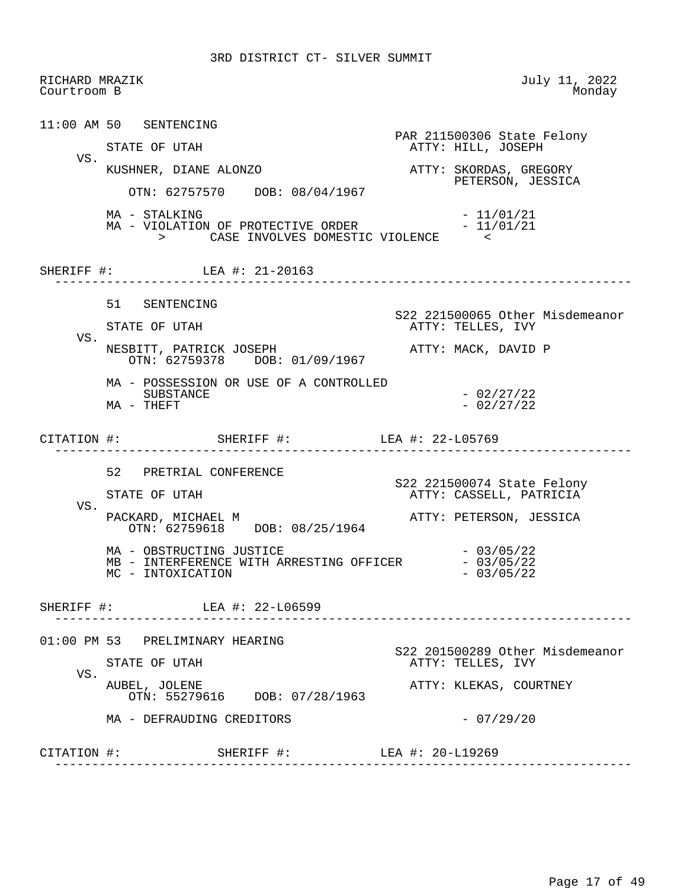RICHARD MRAZIK July 11, 2022<br>Courtroom B Monday Courtroom B 11:00 AM 50 SENTENCING PAR 211500306 State Felony<br>
PAR 211500306 State Felony<br>
ATTY: HILL, JOSEPH ATTY: HILL, JOSEPH VS.<br>KUSHNER, DIANE ALONZO KUSHNER, DIANE ALONZO **ATTY: SKORDAS, GREGORY**  PETERSON, JESSICA OTN: 62757570 DOB: 08/04/1967 MA - STALKING - 11/01/21 MA - VIOLATION OF PROTECTIVE ORDER  $-11/01/21$  > CASE INVOLVES DOMESTIC VIOLENCE < SHERIFF #: LEA #: 21-20163 ------------------------------------------------------------------------------ 51 SENTENCING S22 221500065 Other Misdemeanor ATTY: TELLES, IVY VS. NESBITT, PATRICK JOSEPH ATTY: MACK, DAVID P OTN: 62759378 DOB: 01/09/1967 MA - POSSESSION OR USE OF A CONTROLLED SUBSTANCE - 02/27/22<br>THEFT - 02/27/22  $MA$  - THEFT CITATION #: SHERIFF #: LEA #: 22-L05769 ------------------------------------------------------------------------------ 52 PRETRIAL CONFERENCE S22 221500074 State Felony ATTY: CASSELL, PATRICIA VS.<br>PACKARD, MICHAEL M ATTY: PETERSON, JESSICA OTN: 62759618 DOB: 08/25/1964 MA - OBSTRUCTING JUSTICE<br>
MB - INTERFERENCE WITH ARRESTING OFFICER - 03/05/22 MB - INTERFERENCE WITH ARRESTING OFFICER  $- 03/05/22$ <br>MC - INTOXICATION MC - INTOXICATION SHERIFF #: LEA #: 22-L06599 ------------------------------------------------------------------------------ 01:00 PM 53 PRELIMINARY HEARING S22 201500289 Other Misdemeanor ATTY: TELLES, IVY VS.<br>AUBEL, JOLENE ATTY: KLEKAS, COURTNEY OTN: 55279616 DOB: 07/28/1963 MA - DEFRAUDING CREDITORS - 07/29/20 CITATION #: SHERIFF #: LEA #: 20-L19269 ------------------------------------------------------------------------------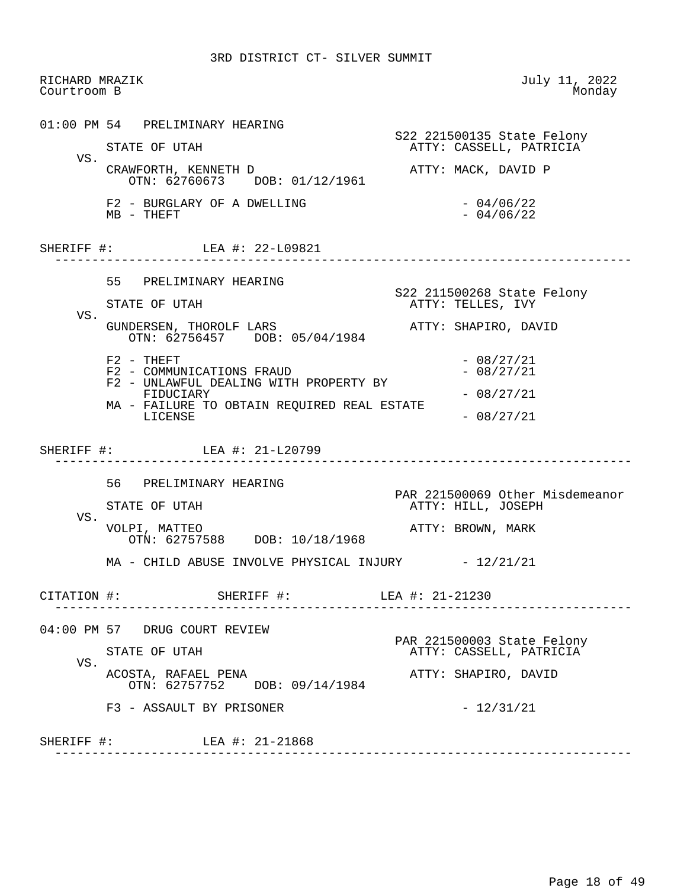RICHARD MRAZIK July 11, 2022<br>Courtroom B Monday Courtroom B 01:00 PM 54 PRELIMINARY HEARING S22 221500135 State Felony ATTY: CASSELL, PATRICIA VS. CRAWFORTH, KENNETH D **ATTY: MACK, DAVID P**  OTN: 62760673 DOB: 01/12/1961  $F2$  - BURGLARY OF A DWELLING  $-04/06/22$ <br>MB - THEFT  $MB - THEFT$ SHERIFF #: LEA #: 22-L09821 ------------------------------------------------------------------------------ 55 PRELIMINARY HEARING STATE OF UTAH STATE SERVICES STATE OF UTAH STATE STATE OF UTAH ATTY: TELLES, IVY VS. GUNDERSEN, THOROLF LARS **ATTY: SHAPIRO, DAVID**  OTN: 62756457 DOB: 05/04/1984  $F2 - THEFT$  - 08/27/21  $F2 - COMMUNICATIONS FRAUD - 08/27/21$  F2 - UNLAWFUL DEALING WITH PROPERTY BY  $FIDUCIARY$  - 08/27/21 MA - FAILURE TO OBTAIN REQUIRED REAL ESTATE  $-08/27/21$  SHERIFF #: LEA #: 21-L20799 ------------------------------------------------------------------------------ 56 PRELIMINARY HEARING PAR 221500069 Other Misdemeanor<br>
PAR 221500069 Other Misdemeanor<br>
ATTY: HILL, JOSEPH ATTY: HILL, JOSEPH VS.<br>VOLPI, MATTEO ATTY: BROWN, MARK OTN: 62757588 DOB: 10/18/1968 MA - CHILD ABUSE INVOLVE PHYSICAL INJURY - 12/21/21 CITATION #: SHERIFF #: LEA #: 21-21230 ------------------------------------------------------------------------------ 04:00 PM 57 DRUG COURT REVIEW PAR 221500003 State Felony<br>FTATE OF UTAH TELL STATE ATTY: CASSELL, PATRICIA ATTY: CASSELL, PATRICIA VS. ACOSTA, RAFAEL PENA ATTY: SHAPIRO, DAVID OTN: 62757752 DOB: 09/14/1984  $F3 - ASSAULT BY PRISONER$  -  $12/31/21$  SHERIFF #: LEA #: 21-21868 ------------------------------------------------------------------------------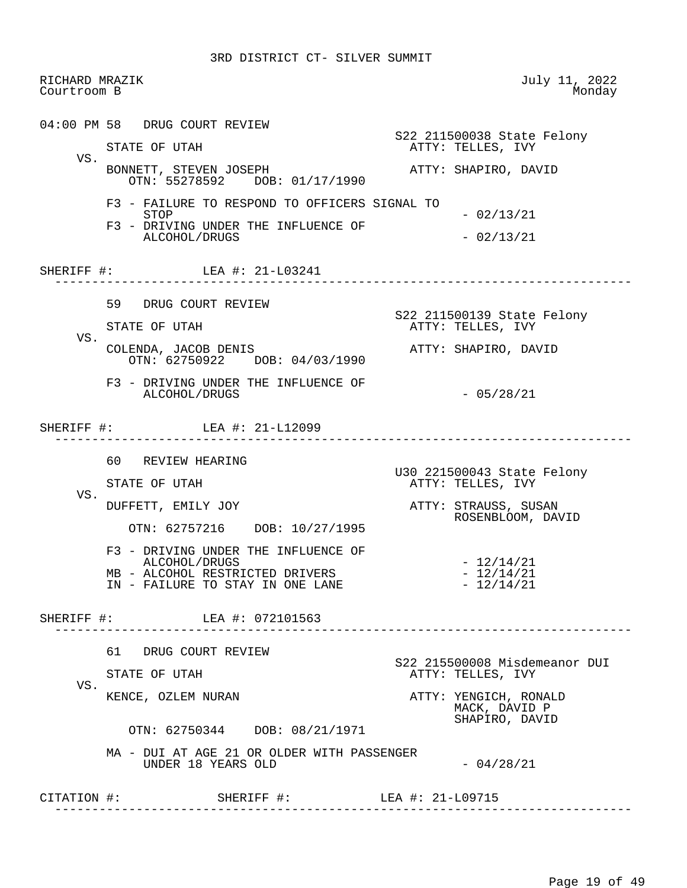| RICHARD MRAZIK<br>Courtroom B |                                                                                         | July 11, 2022<br>Monday                                  |
|-------------------------------|-----------------------------------------------------------------------------------------|----------------------------------------------------------|
|                               | 04:00 PM 58 DRUG COURT REVIEW                                                           | S22 211500038 State Felony                               |
| VS.                           | STATE OF UTAH                                                                           | ATTY: TELLES, IVY                                        |
|                               | BONNETT, STEVEN JOSEPH<br>OTN: 55278592 DOB: 01/17/1990                                 | ATTY: SHAPIRO, DAVID                                     |
|                               | F3 - FAILURE TO RESPOND TO OFFICERS SIGNAL TO<br>STOP                                   | $-02/13/21$                                              |
|                               | F3 - DRIVING UNDER THE INFLUENCE OF<br>ALCOHOL/DRUGS                                    | $-02/13/21$                                              |
|                               | SHERIFF #: LEA #: 21-L03241                                                             | ________________________________                         |
|                               | 59 DRUG COURT REVIEW                                                                    |                                                          |
| VS.                           | STATE OF UTAH                                                                           | S22 211500139 State Felony<br>ATTY: TELLES, IVY          |
|                               | COLENDA, JACOB DENIS<br>OTN: 62750922 DOB: 04/03/1990                                   | ATTY: SHAPIRO, DAVID                                     |
|                               | F3 - DRIVING UNDER THE INFLUENCE OF<br>ALCOHOL/DRUGS                                    | $-05/28/21$                                              |
|                               | SHERIFF #: LEA #: 21-L12099                                                             |                                                          |
|                               | 60 REVIEW HEARING                                                                       |                                                          |
|                               | STATE OF UTAH                                                                           | U30 221500043 State Felony<br>ATTY: TELLES, IVY          |
| VS.                           | DUFFETT, EMILY JOY                                                                      | ATTY: STRAUSS, SUSAN<br>ROSENBLOOM, DAVID                |
|                               | OTN: 62757216 DOB: 10/27/1995                                                           |                                                          |
|                               | F3 - DRIVING UNDER THE INFLUENCE OF<br>ALCOHOL/DRUGS<br>MB - ALCOHOL RESTRICTED DRIVERS | $-12/14/21$<br>$-12/14/21$                               |
|                               | IN - FAILURE TO STAY IN ONE LANE                                                        | $-12/14/21$                                              |
|                               | SHERIFF #: LEA #: 072101563                                                             |                                                          |
|                               | 61 DRUG COURT REVIEW                                                                    |                                                          |
|                               | STATE OF UTAH                                                                           | S22 215500008 Misdemeanor DUI<br>ATTY: TELLES, IVY       |
| VS.                           | KENCE, OZLEM NURAN                                                                      | ATTY: YENGICH, RONALD<br>MACK, DAVID P<br>SHAPIRO, DAVID |
|                               | OTN: 62750344 DOB: 08/21/1971                                                           |                                                          |
|                               | MA - DUI AT AGE 21 OR OLDER WITH PASSENGER                                              |                                                          |
|                               | UNDER 18 YEARS OLD                                                                      | $-04/28/21$                                              |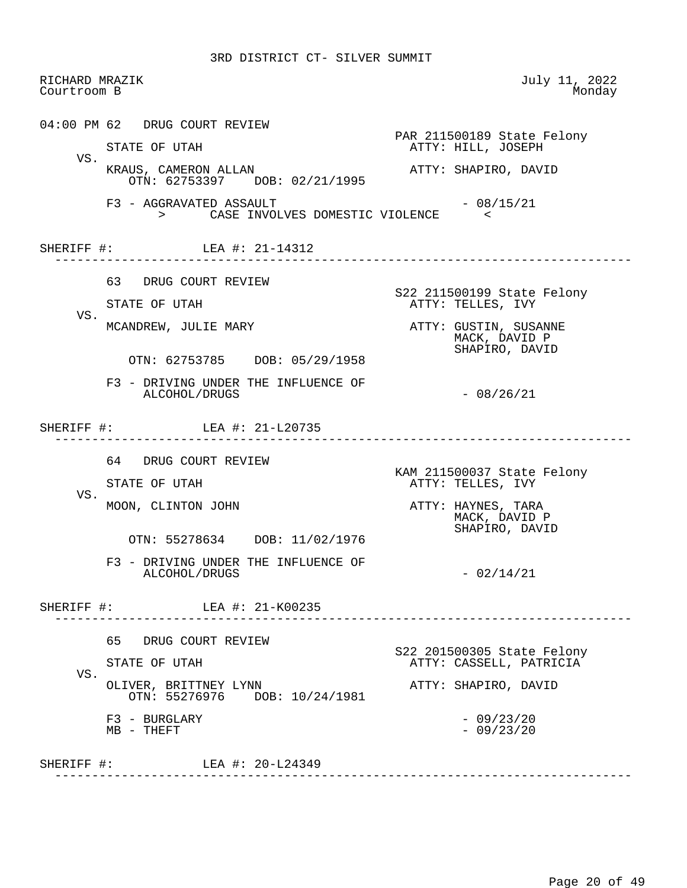| RICHARD MRAZIK<br>Courtroom B |                                                                | July 11, 2022<br>Monday                                  |
|-------------------------------|----------------------------------------------------------------|----------------------------------------------------------|
|                               | 04:00 PM 62 DRUG COURT REVIEW                                  |                                                          |
|                               | STATE OF UTAH                                                  | PAR 211500189 State Felony<br>ATTY: HILL, JOSEPH         |
| VS.                           | KRAUS, CAMERON ALLAN<br>OTN: 62753397 DOB: 02/21/1995          | ATTY: SHAPIRO, DAVID                                     |
|                               | F3 - AGGRAVATED ASSAULT<br>> CASE INVOLVES DOMESTIC VIOLENCE < | - 08/15/21                                               |
|                               | SHERIFF #: LEA #: 21-14312                                     |                                                          |
|                               | 63 DRUG COURT REVIEW                                           |                                                          |
|                               | STATE OF UTAH                                                  | S22 211500199 State Felony<br>ATTY: TELLES, IVY          |
| VS.                           | MCANDREW, JULIE MARY                                           | ATTY: GUSTIN, SUSANNE<br>MACK, DAVID P<br>SHAPIRO, DAVID |
|                               | OTN: 62753785 DOB: 05/29/1958                                  |                                                          |
|                               | F3 - DRIVING UNDER THE INFLUENCE OF<br>ALCOHOL/DRUGS           | $-08/26/21$                                              |
|                               | SHERIFF #: LEA #: 21-L20735                                    |                                                          |
|                               | 64 DRUG COURT REVIEW                                           |                                                          |
|                               | STATE OF UTAH                                                  | KAM 211500037 State Felony<br>ATTY: TELLES, IVY          |
| VS.                           | MOON, CLINTON JOHN                                             | ATTY: HAYNES, TARA<br>MACK, DAVID P<br>SHAPIRO, DAVID    |
|                               | OTN: 55278634 DOB: 11/02/1976                                  |                                                          |
|                               | F3 - DRIVING UNDER THE INFLUENCE OF<br>ALCOHOL/DRUGS           | - 02/14/21                                               |
|                               | SHERIFF #: LEA #: 21-K00235                                    |                                                          |
|                               | 65 DRUG COURT REVIEW                                           |                                                          |
|                               | STATE OF UTAH                                                  | S22 201500305 State Felony<br>ATTY: CASSELL, PATRICIA    |
| VS.                           | OLIVER, BRITTNEY LYNN<br>OTN: 55276976 DOB: 10/24/1981         | ATTY: SHAPIRO, DAVID                                     |
|                               | F3 - BURGLARY<br>$MB - THEFT$                                  | $-09/23/20$<br>$-09/23/20$                               |
|                               | SHERIFF #: LEA #: 20-L24349                                    |                                                          |
|                               |                                                                |                                                          |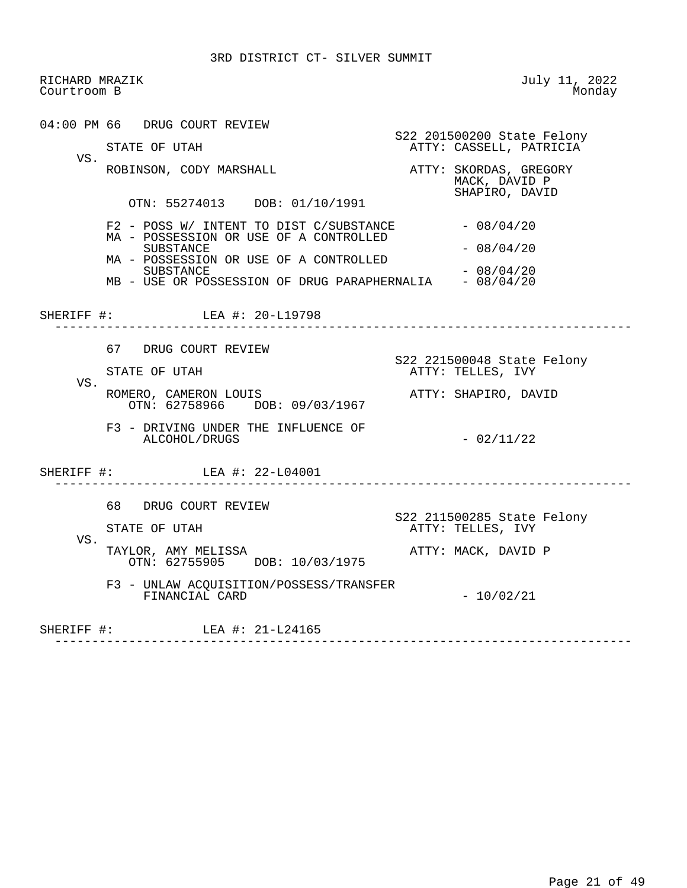RICHARD MRAZIK July 11, 2022<br>Courtroom B Monday Courtroom B 04:00 PM 66 DRUG COURT REVIEW S22 201500200 State Felony<br>STATE OF UTAH TERM STATE ASSELL, PATRICIA ATTY: CASSELL, PATRICIA VS. ROBINSON, CODY MARSHALL **ATTY: SKORDAS, GREGORY**  MACK, DAVID P SHAPIRO, DAVID OTN: 55274013 DOB: 01/10/1991  $F2$  - POSS W/ INTENT TO DIST C/SUBSTANCE  $-08/04/20$  MA - POSSESSION OR USE OF A CONTROLLED  $-08/04/20$  MA - POSSESSION OR USE OF A CONTROLLED SUBSTANCE - 08/04/20<br>USE OR POSSESSION OF DRUG PARAPHERNALIA - 08/04/20 MB - USE OR POSSESSION OF DRUG PARAPHERNALIA SHERIFF #: LEA #: 20-L19798 ------------------------------------------------------------------------------ 67 DRUG COURT REVIEW STATE OF UTAH STATE SAME SERIES STATE OF UTAH ATTY: TELLES, IVY VS. ROMERO, CAMERON LOUIS **ATTY: SHAPIRO, DAVID**  OTN: 62758966 DOB: 09/03/1967 F3 - DRIVING UNDER THE INFLUENCE OF  $ALCOHOL/DRUGS$   $-02/11/22$ SHERIFF #: LEA #: 22-L04001 ------------------------------------------------------------------------------ 68 DRUG COURT REVIEW S22 211500285 State Felony ATTY: TELLES, IVY VS. TAYLOR, AMY MELISSA ATTY: MACK, DAVID P OTN: 62755905 DOB: 10/03/1975 F3 - UNLAW ACQUISITION/POSSESS/TRANSFER  $FINANCIAL CARD$  - 10/02/21 SHERIFF #: LEA #: 21-L24165 ------------------------------------------------------------------------------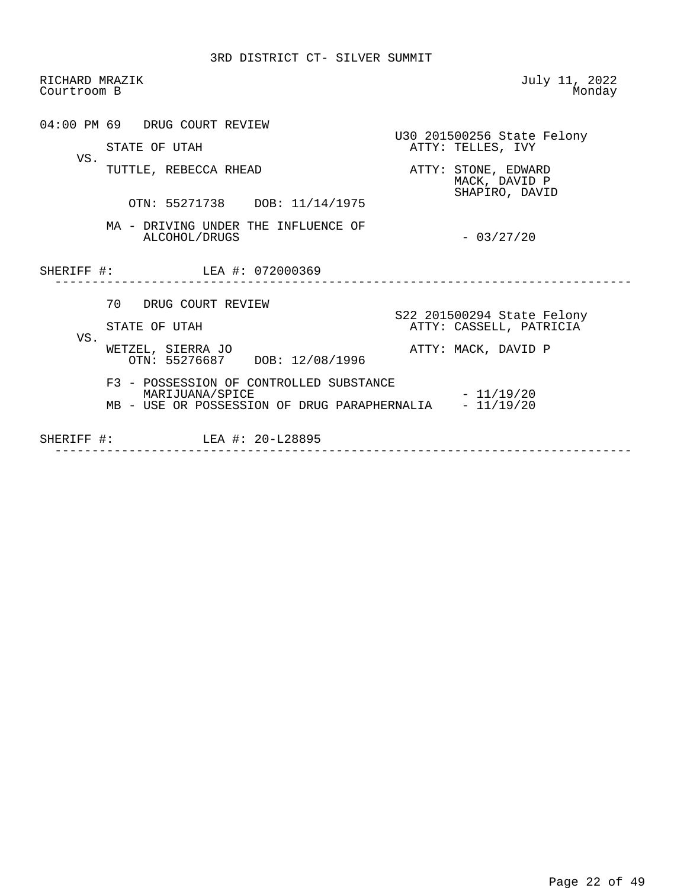| RICHARD MRAZIK<br>Courtroom B |                                                                                                            | July 11, 2022<br>Monday                                |
|-------------------------------|------------------------------------------------------------------------------------------------------------|--------------------------------------------------------|
| VS.                           | 04:00 PM 69 DRUG COURT REVIEW<br>STATE OF UTAH                                                             | U30 201500256 State Felony<br>ATTY: TELLES, IVY        |
|                               | TUTTLE, REBECCA RHEAD                                                                                      | ATTY: STONE, EDWARD<br>MACK, DAVID P<br>SHAPIRO, DAVID |
|                               | OTN: 55271738 DOB: 11/14/1975<br>MA - DRIVING UNDER THE INFLUENCE OF                                       |                                                        |
|                               | ALCOHOL/DRUGS                                                                                              | $-03/27/20$                                            |
|                               | SHERIFF #: LEA #: 072000369                                                                                |                                                        |
|                               | 70 DRUG COURT REVIEW                                                                                       |                                                        |
|                               |                                                                                                            | S22 201500294 State Felony                             |
|                               | STATE OF UTAH                                                                                              | ATTY: CASSELL, PATRICIA                                |
| VS.                           | WETZEL, SIERRA JO<br>OTN: 55276687 DOB: 12/08/1996                                                         | ATTY: MACK, DAVID P                                    |
|                               | F3 - POSSESSION OF CONTROLLED SUBSTANCE<br>MARIJUANA/SPICE<br>MB - USE OR POSSESSION OF DRUG PARAPHERNALIA | $-11/19/20$<br>$-11/19/20$                             |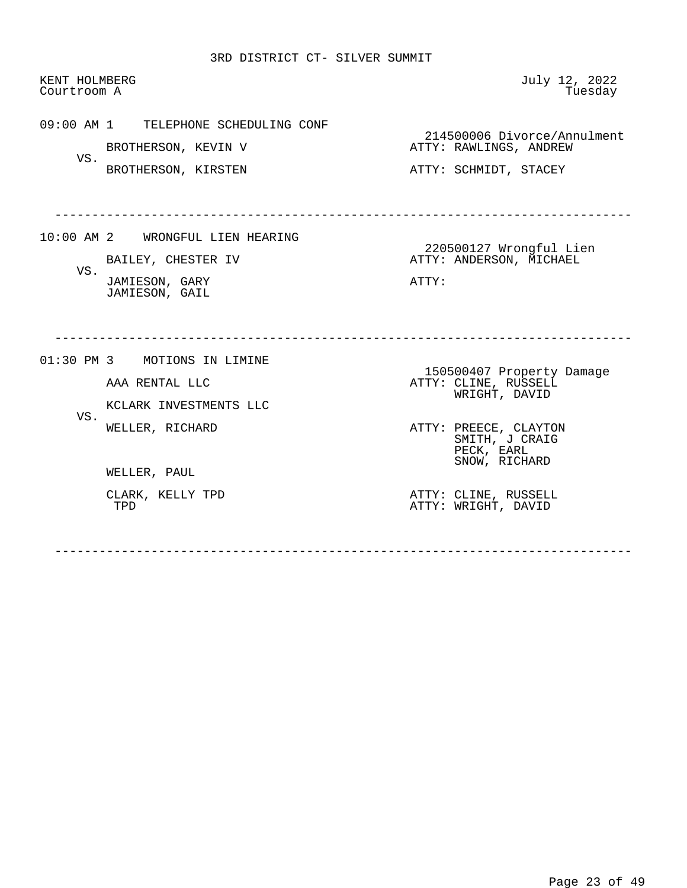| KENT HOLMBERG<br>Courtroom A |                                      | July 12, 2022<br>Tuesday                              |  |
|------------------------------|--------------------------------------|-------------------------------------------------------|--|
|                              | 09:00 AM 1 TELEPHONE SCHEDULING CONF | 214500006 Divorce/Annulment                           |  |
|                              | BROTHERSON, KEVIN V                  | ATTY: RAWLINGS, ANDREW                                |  |
| VS.                          | BROTHERSON, KIRSTEN                  | ATTY: SCHMIDT, STACEY                                 |  |
|                              | 10:00 AM 2 WRONGFUL LIEN HEARING     | 220500127 Wrongful Lien                               |  |
| VS.                          | BAILEY, CHESTER IV                   | ATTY: ANDERSON, MICHAEL                               |  |
|                              | JAMIESON, GARY<br>JAMIESON, GAIL     | ATTY:                                                 |  |
|                              | 01:30 PM 3 MOTIONS IN LIMINE         |                                                       |  |
|                              | AAA RENTAL LLC                       | 150500407 Property Damage<br>ATTY: CLINE, RUSSELL     |  |
|                              | KCLARK INVESTMENTS LLC               | WRIGHT, DAVID                                         |  |
| VS.                          | WELLER, RICHARD                      | ATTY: PREECE, CLAYTON<br>SMITH, J CRAIG<br>PECK, EARL |  |
|                              | WELLER, PAUL                         | SNOW, RICHARD                                         |  |
|                              | CLARK, KELLY TPD<br>TPD              | ATTY: CLINE, RUSSELL<br>ATTY: WRIGHT, DAVID           |  |
|                              |                                      |                                                       |  |
|                              |                                      |                                                       |  |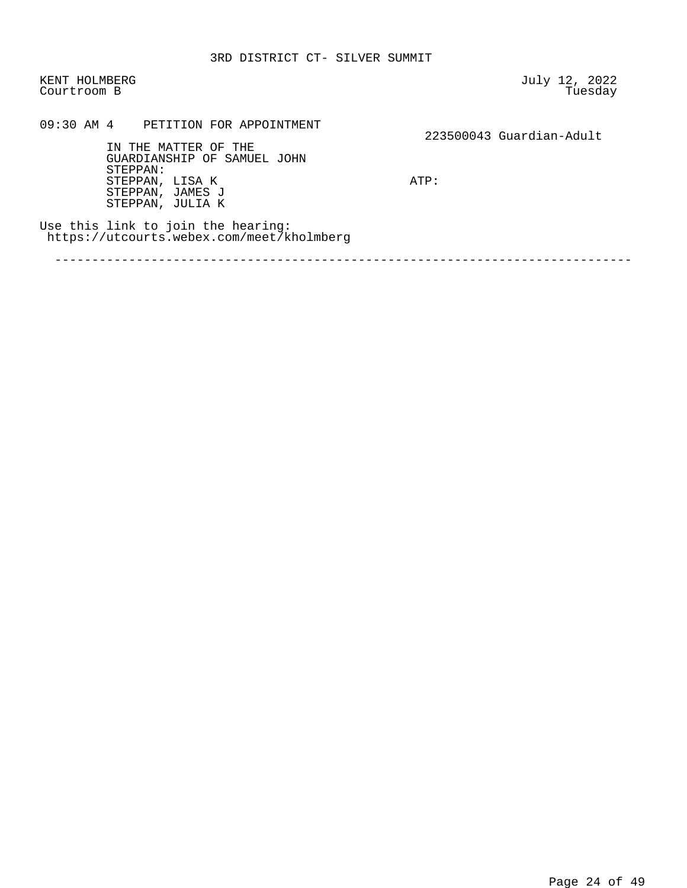KENT HOLMBERG July 12, 2022 Courtroom B

 09:30 AM 4 PETITION FOR APPOINTMENT 223500043 Guardian-Adult IN THE MATTER OF THE GUARDIANSHIP OF SAMUEL JOHN STEPPAN: STEPPAN, LISA K ATP: STEPPAN, JAMES J STEPPAN, JULIA K Use this link to join the hearing: https://utcourts.webex.com/meet/kholmberg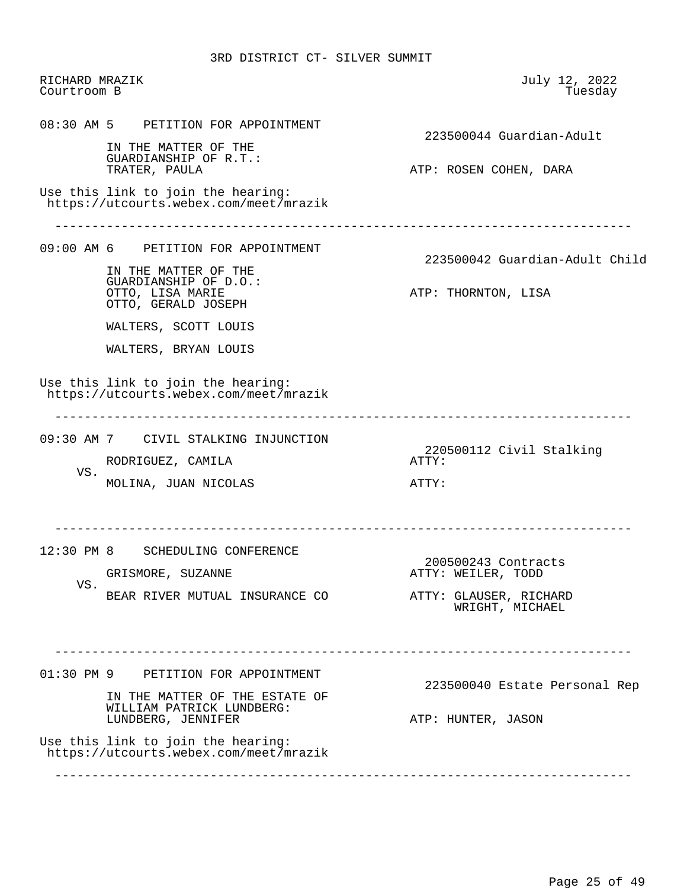RICHARD MRAZIK July 12, 2022 Courtroom B 08:30 AM 5 PETITION FOR APPOINTMENT 223500044 Guardian-Adult IN THE MATTER OF THE GUARDIANSHIP OF R.T.: ATP: ROSEN COHEN, DARA Use this link to join the hearing: https://utcourts.webex.com/meet/mrazik ------------------------------------------------------------------------------ 09:00 AM 6 PETITION FOR APPOINTMENT 223500042 Guardian-Adult Child IN THE MATTER OF THE GUARDIANSHIP OF D.O.: ATP: THORNTON, LISA OTTO, GERALD JOSEPH WALTERS, SCOTT LOUIS WALTERS, BRYAN LOUIS Use this link to join the hearing: https://utcourts.webex.com/meet/mrazik ------------------------------------------------------------------------------ 09:30 AM 7 CIVIL STALKING INJUNCTION 220500112 Civil Stalking RODRIGUEZ, CAMILA VS. MOLINA, JUAN NICOLAS ATTY: ------------------------------------------------------------------------------ 12:30 PM 8 SCHEDULING CONFERENCE 200500243 Contracts ATTY: WEILER, TODD VS. BEAR RIVER MUTUAL INSURANCE CO ATTY: GLAUSER, RICHARD WRIGHT, MICHAEL ------------------------------------------------------------------------------ 01:30 PM 9 PETITION FOR APPOINTMENT 223500040 Estate Personal Rep IN THE MATTER OF THE ESTATE OF WILLIAM PATRICK LUNDBERG: LUNDBERG, JENNIFER ATP: HUNTER, JASON Use this link to join the hearing: https://utcourts.webex.com/meet/mrazik ------------------------------------------------------------------------------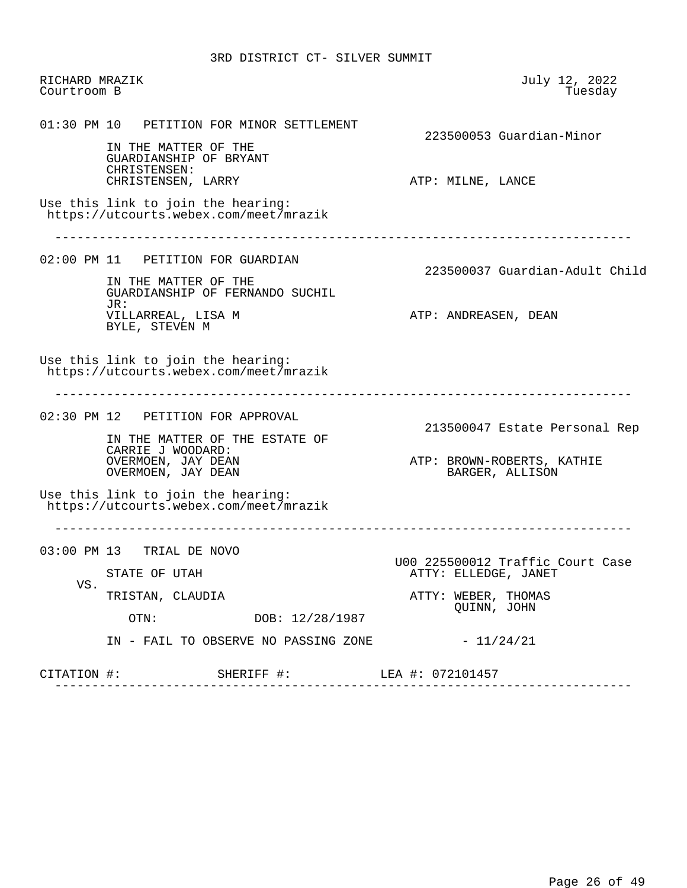RICHARD MRAZIK July 12, 2022 Courtroom B 01:30 PM 10 PETITION FOR MINOR SETTLEMENT 223500053 Guardian-Minor IN THE MATTER OF THE GUARDIANSHIP OF BRYANT CHRISTENSEN:<br>CHRISTENSEN, LARRY ATP: MILNE, LANCE Use this link to join the hearing: https://utcourts.webex.com/meet/mrazik ------------------------------------------------------------------------------ 02:00 PM 11 PETITION FOR GUARDIAN 223500037 Guardian-Adult Child IN THE MATTER OF THE GUARDIANSHIP OF FERNANDO SUCHIL JR:<br>VILLARREAL, LISA M ATP: ANDREASEN, DEAN BYLE, STEVEN M Use this link to join the hearing: https://utcourts.webex.com/meet/mrazik ------------------------------------------------------------------------------ 02:30 PM 12 PETITION FOR APPROVAL 213500047 Estate Personal Rep IN THE MATTER OF THE ESTATE OF CARRIE J WOODARD: ATP: BROWN-ROBERTS, KATHIE<br>BARGER, ALLISON OVERMOEN, JAY DEAN<br>OVERMOEN, JAY DEAN Use this link to join the hearing: https://utcourts.webex.com/meet/mrazik ------------------------------------------------------------------------------ 03:00 PM 13 TRIAL DE NOVO U00 225500012 Traffic Court Case ATTY: ELLEDGE, JANET VS.<br>TRISTAN, CLAUDIA ATTY: WEBER, THOMAS OTN: DOB: 12/28/1987 QUINN, JOHN DOB: 12/28/1987 IN - FAIL TO OBSERVE NO PASSING ZONE  $-11/24/21$ CITATION #: SHERIFF #: LEA #: 072101457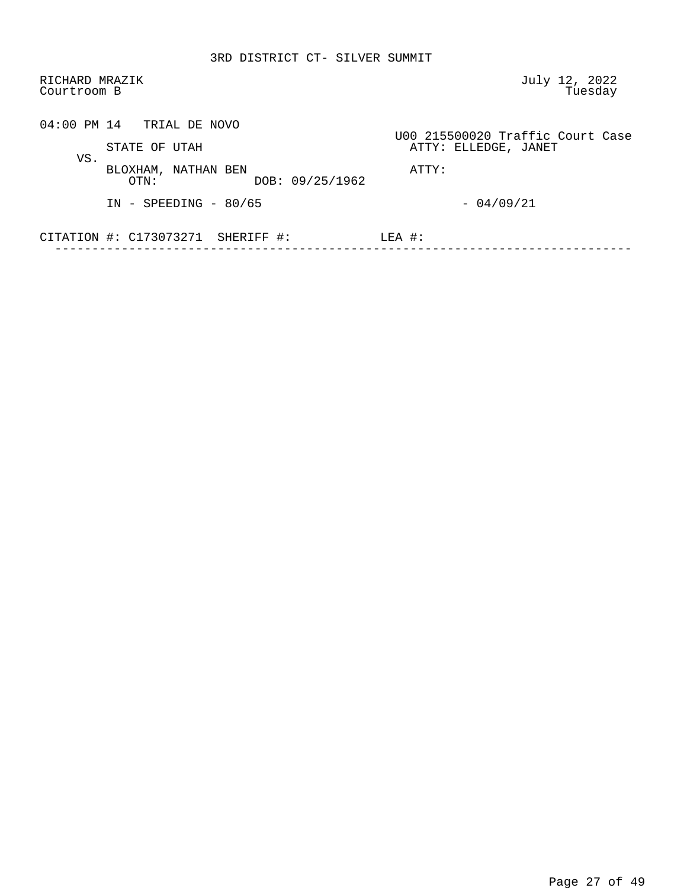| RICHARD MRAZIK<br>Courtroom B                         | July 12, 2022<br>Tuesday                                 |
|-------------------------------------------------------|----------------------------------------------------------|
| $04:00$ PM $14$ TRIAL DE NOVO<br>STATE OF UTAH        | U00 215500020 Traffic Court Case<br>ATTY: ELLEDGE, JANET |
| VS.<br>BLOXHAM, NATHAN BEN<br>DOB: 09/25/1962<br>OTN: | ATTY:                                                    |
| $IN - SPEEDING - 80/65$                               | $-04/09/21$                                              |
| CITATION $\#$ : C173073271 SHERIFF $\#$ :             | $LEA$ #:                                                 |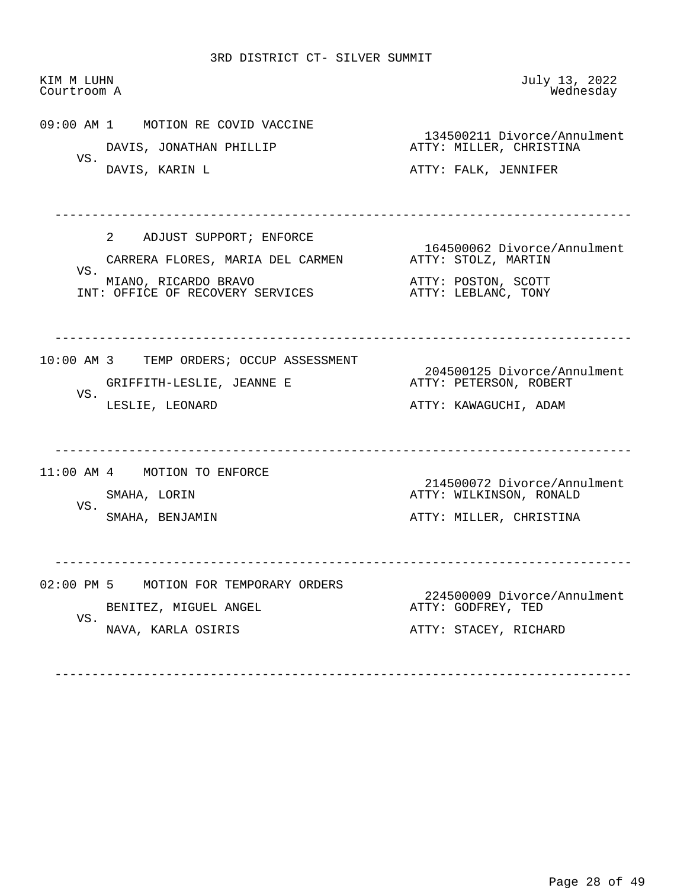| KIM M LUHN<br>Courtroom A |                                                                                                                                        | July 13, 2022<br>Wednesday                                                                       |
|---------------------------|----------------------------------------------------------------------------------------------------------------------------------------|--------------------------------------------------------------------------------------------------|
| VS.                       | 09:00 AM 1 MOTION RE COVID VACCINE<br>DAVIS, JONATHAN PHILLIP<br>DAVIS, KARIN L                                                        | 134500211 Divorce/Annulment<br>ATTY: MILLER, CHRISTINA<br>ATTY: FALK, JENNIFER                   |
| VS.                       | $2^{\circ}$<br>ADJUST SUPPORT; ENFORCE<br>CARRERA FLORES, MARIA DEL CARMEN<br>MIANO, RICARDO BRAVO<br>INT: OFFICE OF RECOVERY SERVICES | 164500062 Divorce/Annulment<br>ATTY: STOLZ, MARTIN<br>ATTY: POSTON, SCOTT<br>ATTY: LEBLANC, TONY |
| VS.                       | 10:00 AM 3 TEMP ORDERS; OCCUP ASSESSMENT<br>GRIFFITH-LESLIE, JEANNE E<br>LESLIE, LEONARD                                               | 204500125 Divorce/Annulment<br>ATTY: PETERSON, ROBERT<br>ATTY: KAWAGUCHI, ADAM                   |
| VS.                       | 11:00 AM 4 MOTION TO ENFORCE<br>SMAHA, LORIN<br>SMAHA, BENJAMIN                                                                        | 214500072 Divorce/Annulment<br>ATTY: WILKINSON, RONALD<br>ATTY: MILLER, CHRISTINA                |
| $02:00$ PM 5<br>VS.       | MOTION FOR TEMPORARY ORDERS<br>BENITEZ, MIGUEL ANGEL<br>NAVA, KARLA OSIRIS                                                             | 224500009 Divorce/Annulment<br>ATTY: GODFREY, TED<br>ATTY: STACEY, RICHARD                       |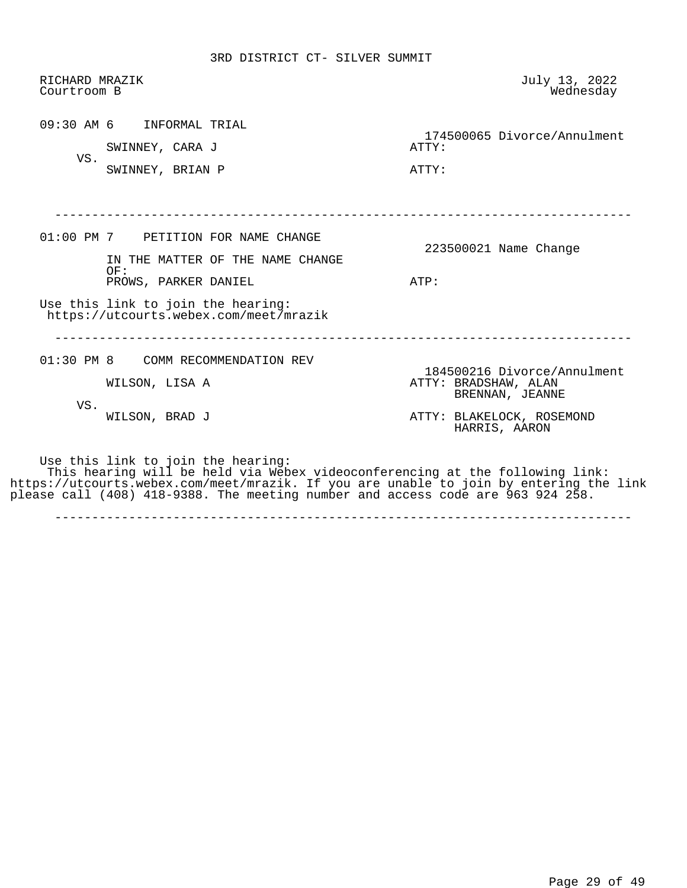| RICHARD MRAZIK<br>Courtroom B |                                                                                                                                                                                                                                                                                                 | July 13, 2022<br>Wednesday                                             |
|-------------------------------|-------------------------------------------------------------------------------------------------------------------------------------------------------------------------------------------------------------------------------------------------------------------------------------------------|------------------------------------------------------------------------|
| VS.                           | 09:30 AM 6 INFORMAL TRIAL<br>SWINNEY, CARA J<br>SWINNEY, BRIAN P                                                                                                                                                                                                                                | 174500065 Divorce/Annulment<br>ATTY:<br>ATTY:                          |
|                               | 01:00 PM 7 PETITION FOR NAME CHANGE<br>IN THE MATTER OF THE NAME CHANGE                                                                                                                                                                                                                         | 223500021 Name Change                                                  |
|                               | OF:<br>PROWS, PARKER DANIEL<br>Use this link to join the hearing:                                                                                                                                                                                                                               | ATP:                                                                   |
|                               | https://utcourts.webex.com/meet/mrazik<br>01:30 PM 8 COMM RECOMMENDATION REV                                                                                                                                                                                                                    |                                                                        |
| VS.                           | WILSON, LISA A                                                                                                                                                                                                                                                                                  | 184500216 Divorce/Annulment<br>ATTY: BRADSHAW, ALAN<br>BRENNAN, JEANNE |
|                               | WILSON, BRAD J                                                                                                                                                                                                                                                                                  | ATTY: BLAKELOCK, ROSEMOND<br>HARRIS, AARON                             |
|                               | Use this link to join the hearing:<br>This hearing will be held via Webex videoconferencing at the following link:<br>https://utcourts.webex.com/meet/mrazik. If you are unable to join by entering the link<br>please call (408) 418-9388. The meeting number and access code are 963 924 258. |                                                                        |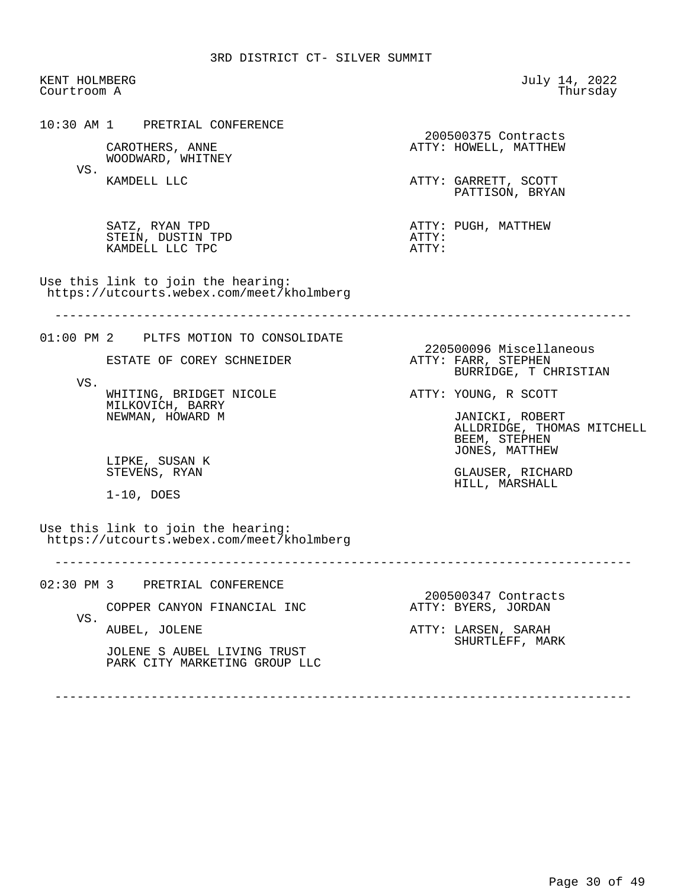KENT HOLMBERG July 14, 2022 Courtroom A

 10:30 AM 1 PRETRIAL CONFERENCE 200500375 Contracts<br>ATTY: HOWELL, MATTHEW CAROTHERS, ANNE **ATTY: HOWELL, MATTHEW**  WOODWARD, WHITNEY VS.<br>KAMDELL LLC ATTY: GARRETT, SCOTT PATTISON, BRYAN SATZ, RYAN TPD ATTY: PUGH, MATTHEW STEIN, DUSTIN TPD ATTY: KAMDELL LLC TPC Use this link to join the hearing: https://utcourts.webex.com/meet/kholmberg ------------------------------------------------------------------------------ 01:00 PM 2 PLTFS MOTION TO CONSOLIDATE 220500096 Miscellaneous<br>ATTY: FARR, STEPHEN ESTATE OF COREY SCHNEIDER BURRIDGE, T CHRISTIAN VS. WHITING, BRIDGET NICOLE **ATTY: YOUNG, R SCOTT**  MILKOVICH, BARRY NEWMAN, HOWARD M JANICKI, ROBERT ALLDRIDGE, THOMAS MITCHELL BEEM, STEPHEN JONES, MATTHEW LIPKE, SUSAN K<br>STEVENS, RYAN GLAUSER, RICHARD HILL, MARSHALL 1-10, DOES Use this link to join the hearing: https://utcourts.webex.com/meet/kholmberg ------------------------------------------------------------------------------ 02:30 PM 3 PRETRIAL CONFERENCE 200500347 Contracts<br>ATTY: BYERS, JORDAN COPPER CANYON FINANCIAL INC VS.<br>AUBEL, JOLENE ATTY: LARSEN, SARAH SHURTLEFF, MARK JOLENE S AUBEL LIVING TRUST PARK CITY MARKETING GROUP LLC ------------------------------------------------------------------------------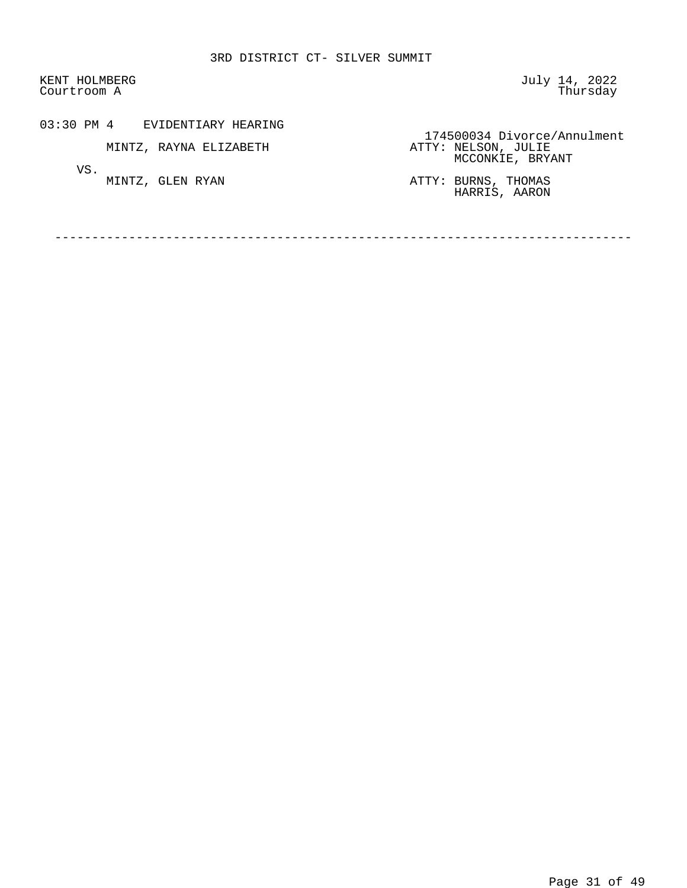KENT HOLMBERG GERALD STREET STREET AND THE STREET STREET AND JULY 14, 2022 Courtroom A Thursday

03:30 PM 4 EVIDENTIARY HEARING

MINTZ, RAYNA ELIZABETH

VS.<br>MINTZ, GLEN RYAN

 174500034 Divorce/Annulment ATTY: NELSON, JULIE<br>MCCONKIE, BRYANT

MINTZ, GLEN RYAN **ATTY: BURNS, THOMAS** HARRIS, AARON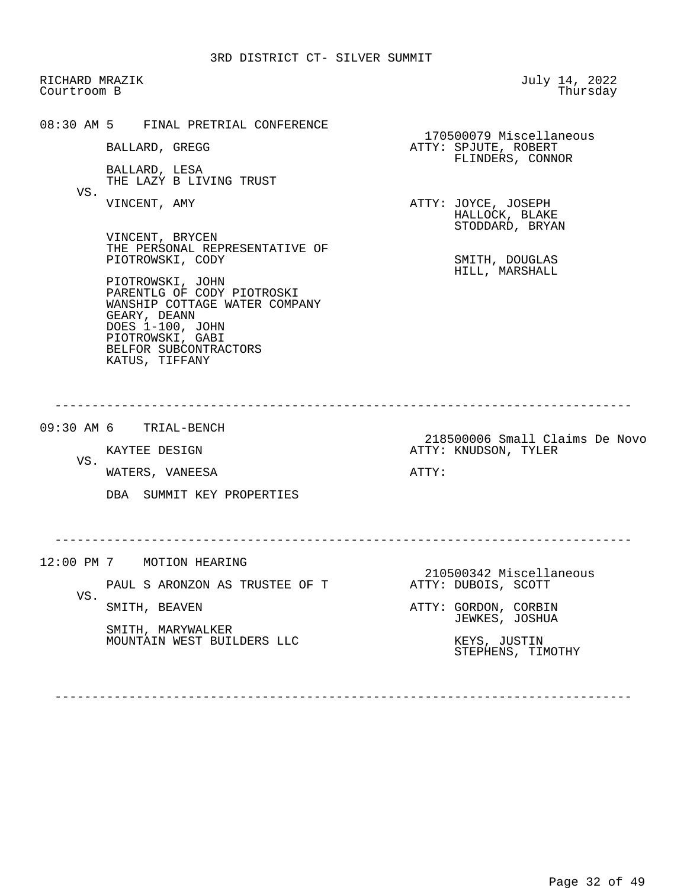RICHARD MRAZIK July 14, 2022 Courtroom B 08:30 AM 5 FINAL PRETRIAL CONFERENCE 170500079 Miscellaneous ATTY: SPJUTE, ROBERT FLINDERS, CONNOR BALLARD, LESA THE LAZY B LIVING TRUST VS.<br>VINCENT, AMY ATTY: JOYCE, JOSEPH HALLOCK, BLAKE STODDARD, BRYAN VINCENT, BRYCEN THE PERSONAL REPRESENTATIVE OF PIOTROWSKI, CODY SMITH, DOUGLAS HILL, MARSHALL PIOTROWSKI, JOHN PARENTLG OF CODY PIOTROSKI WANSHIP COTTAGE WATER COMPANY GEARY, DEANN DOES 1-100, JOHN PIOTROWSKI, GABI BELFOR SUBCONTRACTORS KATUS, TIFFANY ------------------------------------------------------------------------------ 09:30 AM 6 TRIAL-BENCH EXAYTEE DESIGN NET RELEASE STATE OF STATE SERVICE STATES OF STATES DESIGN NET RELEASE ATTY: KNUDSON, TYLER ATTY: KNUDSON, TYLER VS. WATERS, VANEESA ATTY: DBA SUMMIT KEY PROPERTIES ------------------------------------------------------------------------------ 12:00 PM 7 MOTION HEARING 210500342 Miscellaneous<br>ATTY: DUBOIS, SCOTT PAUL S ARONZON AS TRUSTEE OF T VS.<br>SMITH, BEAVEN ATTY: GORDON, CORBIN JEWKES, JOSHUA SMITH, MARYWALKER MOUNTAIN WEST BUILDERS LLC KEYS, JUSTIN STEPHENS, TIMOTHY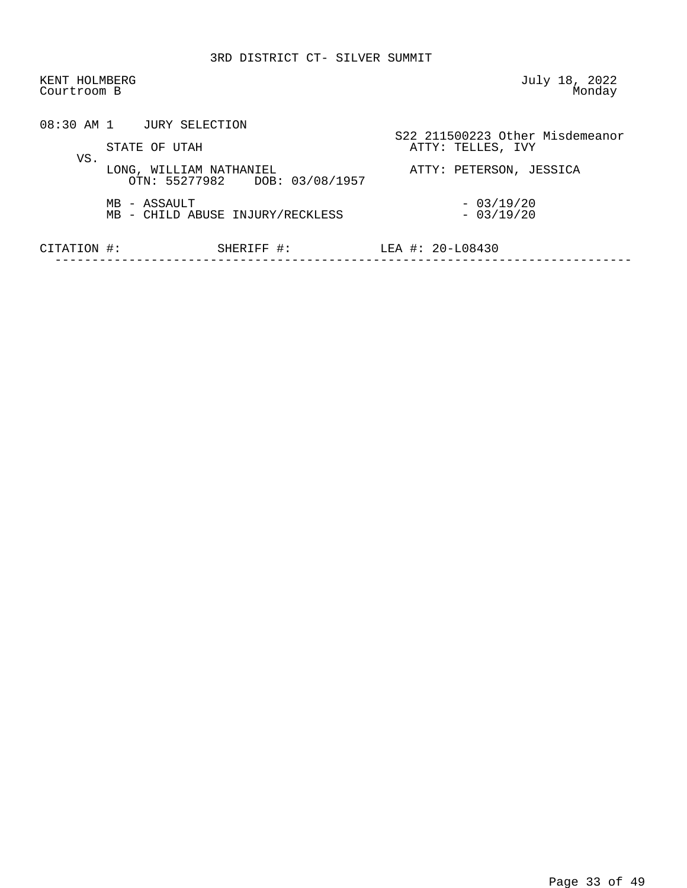| KENT HOLMBERG<br>Courtroom B |                                                          | July 18, 2022<br>Monday                              |
|------------------------------|----------------------------------------------------------|------------------------------------------------------|
|                              | 08:30 AM 1 JURY SELECTION<br>STATE OF UTAH               | S22 211500223 Other Misdemeanor<br>ATTY: TELLES, IVY |
| VS.                          | LONG, WILLIAM NATHANIEL<br>OTN: 55277982 DOB: 03/08/1957 | ATTY: PETERSON, JESSICA                              |
|                              | MB - ASSAULT<br>MB - CHILD ABUSE INJURY/RECKLESS         | $-03/19/20$<br>$-03/19/20$                           |
| CITATION #:                  | SHERIFF #:                                               | LEA #: $20 - 108430$                                 |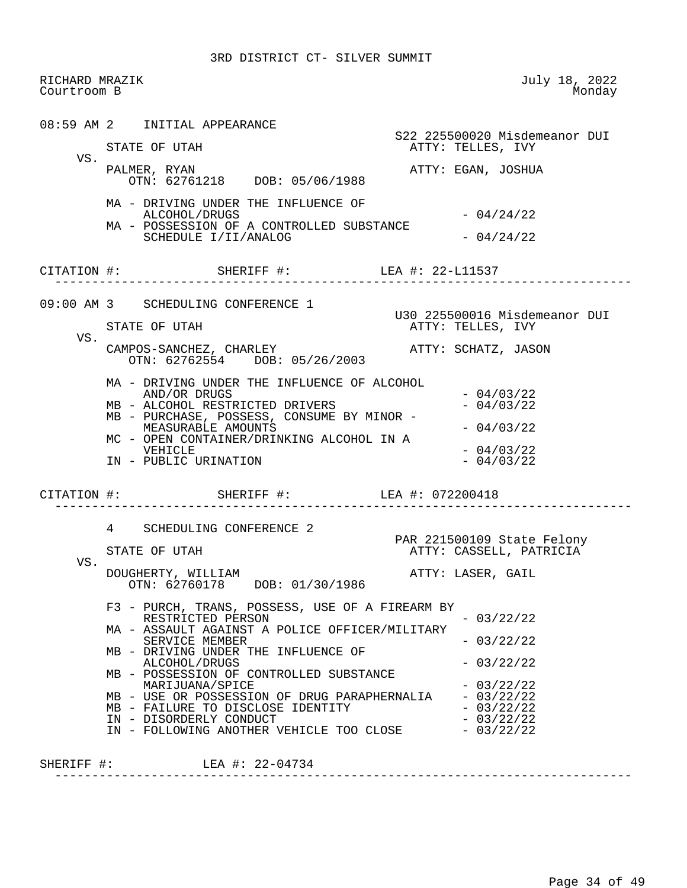RICHARD MRAZIK July 18, 2022 Courtroom B 08:59 AM 2 INITIAL APPEARANCE S22 225500020 Misdemeanor DUI<br>STATE OF UTAH TELLES, IVY ATTY: TELLES, IVY VS.<br>PALMER, RYAN ATTY: EGAN, JOSHUA OTN: 62761218 DOB: 05/06/1988 MA - DRIVING UNDER THE INFLUENCE OF ALCOHOL/DRUGS - 04/24/22 MA - POSSESSION OF A CONTROLLED SUBSTANCE SCHEDULE  $I/I I/ANALOG$   $-04/24/22$  CITATION #: SHERIFF #: LEA #: 22-L11537 ------------------------------------------------------------------------------ 09:00 AM 3 SCHEDULING CONFERENCE 1 U30 225500016 Misdemeanor DUI ATTY: TELLES, IVY VS. CAMPOS-SANCHEZ, CHARLEY ATTY: SCHATZ, JASON OTN: 62762554 DOB: 05/26/2003 MA - DRIVING UNDER THE INFLUENCE OF ALCOHOL AND/OR DRUGS - 04/03/22<br>ALCOHOL RESTRICTED DRIVERS - 04/03/22 MB - ALCOHOL RESTRICTED DRIVERS MB - PURCHASE, POSSESS, CONSUME BY MINOR -  $MEASURABLE AMOUNTS$   $-04/03/22$ MC - OPEN CONTAINER/DRINKING ALCOHOL IN A VEHICLE  $-04/03/22$ <br> $-04/03/22$ IN - PUBLIC URINATION CITATION #: SHERIFF #: LEA #: 072200418 ------------------------------------------------------------------------------ 4 SCHEDULING CONFERENCE 2 PAR 221500109 State Felony ATTY: CASSELL, PATRICIA VS. DOUGHERTY, WILLIAM **ATTY: LASER, GAIL**  OTN: 62760178 DOB: 01/30/1986 F3 - PURCH, TRANS, POSSESS, USE OF A FIREARM BY RESTRICTED PERSON  $-03/22/22$  MA - ASSAULT AGAINST A POLICE OFFICER/MILITARY SERVICE MEMBER  $- 03/22/22$  MB - DRIVING UNDER THE INFLUENCE OF ALCOHOL/DRUGS - 03/22/22 MB - POSSESSION OF CONTROLLED SUBSTANCE MARIJUANA/SPICE - 03/22/22<br>USE OR POSSESSION OF DRUG PARAPHERNALIA - 03/22/22 MB - USE OR POSSESSION OF DRUG PARAPHERNALIA  $-0.3/22/22$ <br>MB - FAILURE TO DISCLOSE IDENTITY  $-0.3/22/22$ MB - FAILURE TO DISCLOSE IDENTITY  $-03/22/22$ <br>IN - DISORDERLY CONDUCT IN - DISORDERLY CONDUCT<br>IN - FOLLOWING ANOTHER VEHICLE TOO CLOSE - 03/22/22 IN - FOLLOWING ANOTHER VEHICLE TOO CLOSE SHERIFF #: LEA #: 22-04734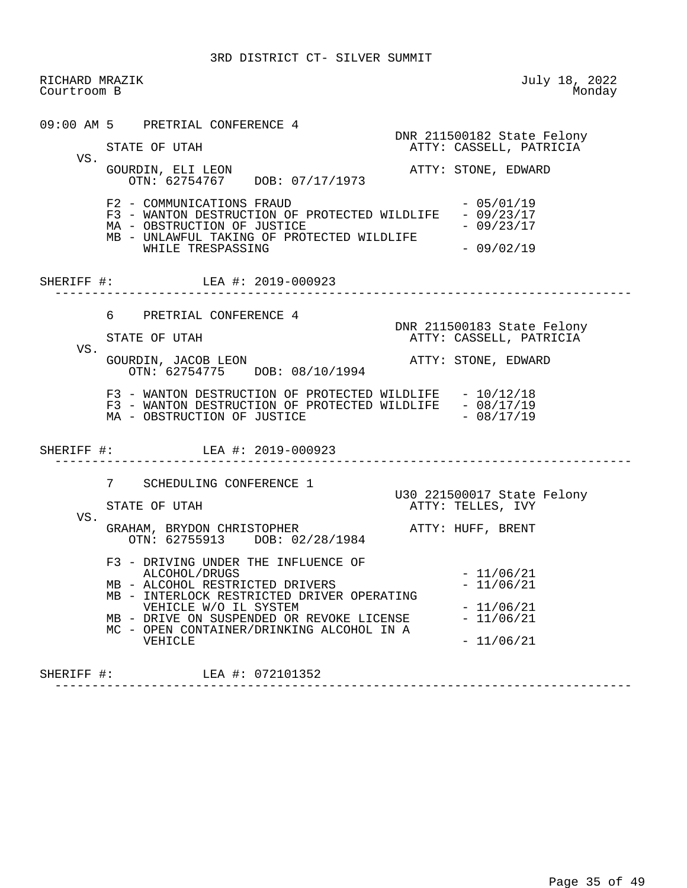RICHARD MRAZIK July 18, 2022 Courtroom B 09:00 AM 5 PRETRIAL CONFERENCE 4 DNR 211500182 State Felony ATTY: CASSELL, PATRICIA VS.<br>GOURDIN, ELI LEON ATTY: STONE, EDWARD OTN: 62754767 DOB: 07/17/1973  $F2 - COMMUNICATIONS FRAUD - 05/01/19$ F3 - WANTON DESTRUCTION OF PROTECTED WILDLIFE - 09/23/17<br>MA - OBSTRUCTION OF JUSTICE - 09/23/17 MA - OBSTRUCTION OF JUSTICE MB - UNLAWFUL TAKING OF PROTECTED WILDLIFE WHILE TRESPASSING  $- 09/02/19$  SHERIFF #: LEA #: 2019-000923 ------------------------------------------------------------------------------ 6 PRETRIAL CONFERENCE 4 DNR 211500183 State Felony<br>BTATE OF UTAH THE STATE ASSELL, PATRICIA ATTY: CASSELL, PATRICIA VS. GOURDIN, JACOB LEON **ATTY: STONE, EDWARD**  OTN: 62754775 DOB: 08/10/1994 F3 - WANTON DESTRUCTION OF PROTECTED WILDLIFE - 10/12/18 F3 - WANTON DESTRUCTION OF PROTECTED WILDLIFE - 08/17/19<br>MA - OBSTRUCTION OF JUSTICE - 08/17/19 MA - OBSTRUCTION OF JUSTICE SHERIFF #: LEA #: 2019-000923 ------------------------------------------------------------------------------ 7 SCHEDULING CONFERENCE 1 U30 221500017 State Felony ATTY: TELLES, IVY VS. GRAHAM, BRYDON CHRISTOPHER ATTY: HUFF, BRENT OTN: 62755913 DOB: 02/28/1984 F3 - DRIVING UNDER THE INFLUENCE OF ALCOHOL/DRUGS - 11/06/21 MB - ALCOHOL RESTRICTED DRIVERS - 11/06/21 MB - INTERLOCK RESTRICTED DRIVER OPERATING VEHICLE W/O IL SYSTEM - 11/06/21 MB - DRIVE ON SUSPENDED OR REVOKE LICENSE MC - OPEN CONTAINER/DRINKING ALCOHOL IN A  $-11/06/21$ 

 SHERIFF #: LEA #: 072101352 ------------------------------------------------------------------------------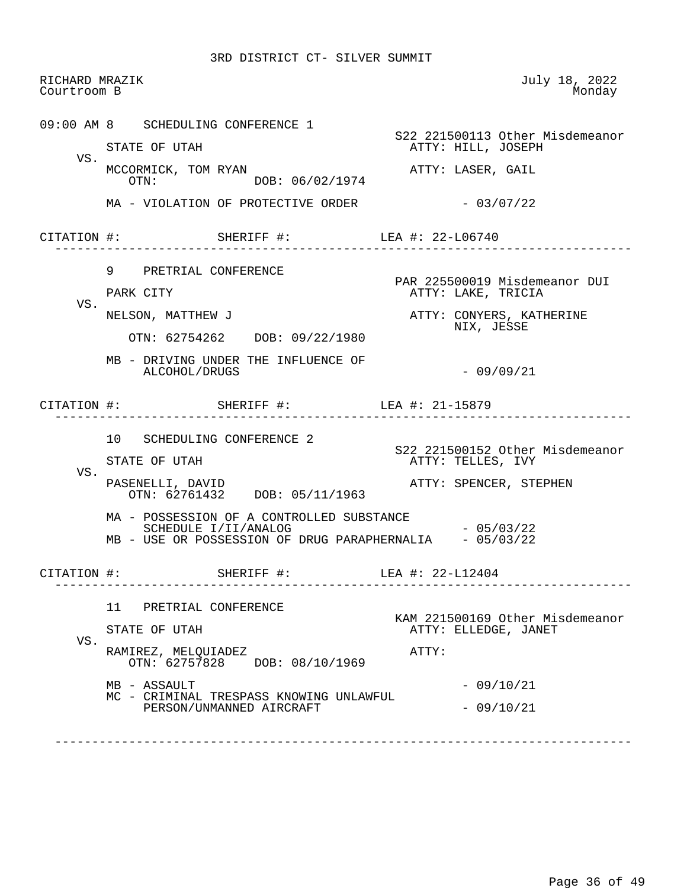| Courtroom B | RICHARD MRAZIK                                                                  | July 18, 2022<br>Monday                                   |
|-------------|---------------------------------------------------------------------------------|-----------------------------------------------------------|
|             | 09:00 AM 8 SCHEDULING CONFERENCE 1                                              | S22 221500113 Other Misdemeanor                           |
|             | STATE OF UTAH                                                                   | ATTY: HILL, JOSEPH                                        |
| VS.         | MCCORMICK, TOM RYAN<br>DOB: 06/02/1974<br>OTN:                                  | ATTY: LASER, GAIL                                         |
|             | MA - VIOLATION OF PROTECTIVE ORDER                                              | $-03/07/22$                                               |
|             | CITATION #: SHERIFF #: LEA #: 22-L06740                                         |                                                           |
|             | 9 PRETRIAL CONFERENCE                                                           |                                                           |
| VS.         | PARK CITY                                                                       | PAR 225500019 Misdemeanor DUI<br>ATTY: LAKE, TRICIA       |
|             | NELSON, MATTHEW J<br>OTN: 62754262 DOB: 09/22/1980                              | ATTY: CONYERS, KATHERINE<br>NIX, JESSE                    |
|             | MB - DRIVING UNDER THE INFLUENCE OF<br>ALCOHOL/DRUGS                            | $-09/09/21$                                               |
|             | CITATION #: SHERIFF #: LEA #: 21-15879<br>. <u>.</u>                            |                                                           |
|             | 10 SCHEDULING CONFERENCE 2                                                      |                                                           |
|             |                                                                                 |                                                           |
|             | STATE OF UTAH                                                                   | ATTY: TELLES, IVY                                         |
| VS.         | PASENELLI, DAVID<br>OTN: 62761432 DOB: 05/11/1963                               | S22 221500152 Other Misdemeanor<br>ATTY: SPENCER, STEPHEN |
|             | MA - POSSESSION OF A CONTROLLED SUBSTANCE                                       |                                                           |
|             | SCHEDULE I/II/ANALOG<br>MB - USE OR POSSESSION OF DRUG PARAPHERNALIA - 05/03/22 | $-05/03/22$                                               |
| CITATION #: | SHERIFF #:                                                                      | LEA #: 22-L12404                                          |
|             | 11<br>PRETRIAL CONFERENCE                                                       |                                                           |
|             | STATE OF UTAH                                                                   | KAM 221500169 Other Misdemeanor<br>ATTY: ELLEDGE, JANET   |
| VS.         | RAMIREZ, MELQUIADEZ<br>OTN: 62757828 DOB: 08/10/1969                            | ATTY:                                                     |
|             | MB - ASSAULT<br>MC - CRIMINAL TRESPASS KNOWING UNLAWFUL                         | $-09/10/21$                                               |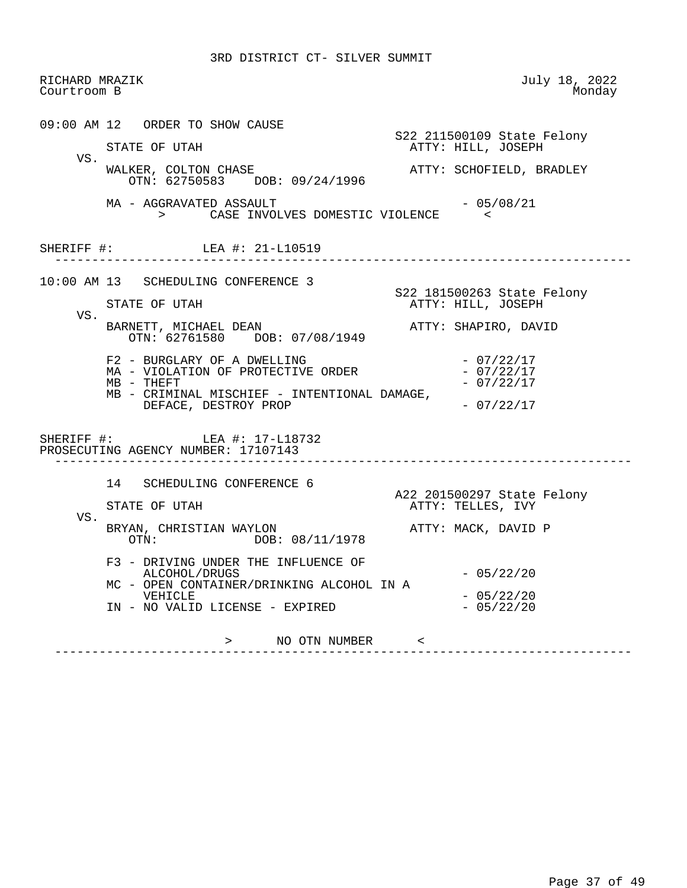| RICHARD MRAZIK<br>Courtroom B |                                                                                                                                                                                                                                                                                                            | July 18, 2022<br>Monday                                                                                                              |
|-------------------------------|------------------------------------------------------------------------------------------------------------------------------------------------------------------------------------------------------------------------------------------------------------------------------------------------------------|--------------------------------------------------------------------------------------------------------------------------------------|
| VS.                           | 09:00 AM 12 ORDER TO SHOW CAUSE<br>STATE OF UTAH<br>WALKER, COLTON CHASE<br>OTN: 62750583 DOB: 09/24/1996<br>MA - AGGRAVATED ASSAULT<br>> CASE INVOLVES DOMESTIC VIOLENCE <                                                                                                                                | S22 211500109 State Felony<br>ATTY: HILL, JOSEPH<br>ATTY: SCHOFIELD, BRADLEY<br>- 05/08/21                                           |
|                               | SHERIFF #: LEA #: 21-L10519                                                                                                                                                                                                                                                                                |                                                                                                                                      |
| VS.                           | 10:00 AM 13 SCHEDULING CONFERENCE 3<br>STATE OF UTAH<br>BARNETT, MICHAEL DEAN<br>OTN: 62761580 DOB: 07/08/1949<br>F2 - BURGLARY OF A DWELLING<br>MA - VIOLATION OF PROTECTIVE ORDER<br>$MB - THEFT$<br>MB - CRIMINAL MISCHIEF - INTENTIONAL DAMAGE,<br>DEFACE, DESTROY PROP<br>SHERIFF #: LEA #: 17-L18732 | S22 181500263 State Felony<br>ATTY: HILL, JOSEPH<br>ATTY: SHAPIRO, DAVID<br>$-07/22/17$<br>$-07/22/17$<br>$-07/22/17$<br>$-07/22/17$ |
|                               | PROSECUTING AGENCY NUMBER: 17107143<br>14 SCHEDULING CONFERENCE 6                                                                                                                                                                                                                                          | A22 201500297 State Felony                                                                                                           |
| VS.                           | STATE OF UTAH<br>BRYAN, CHRISTIAN WAYLON<br>OTN: DOB: 08/11/1978                                                                                                                                                                                                                                           | ATTY: TELLES, IVY<br>ATTY: MACK, DAVID P                                                                                             |
|                               | F3 - DRIVING UNDER THE INFLUENCE OF<br>ALCOHOL/DRUGS<br>MC - OPEN CONTAINER/DRINKING ALCOHOL IN A<br>VEHICLE<br>IN - NO VALID LICENSE - EXPIRED                                                                                                                                                            | $-05/22/20$<br>$-05/22/20$<br>$-05/22/20$                                                                                            |
|                               | > NO OTN NUMBER <                                                                                                                                                                                                                                                                                          |                                                                                                                                      |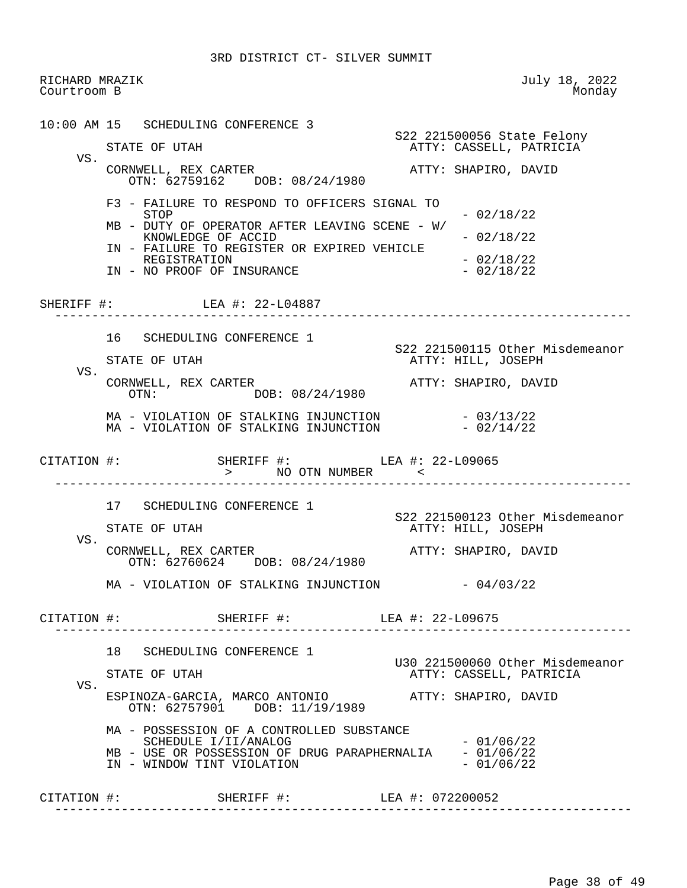RICHARD MRAZIK July 18, 2022 Courtroom B 10:00 AM 15 SCHEDULING CONFERENCE 3 S22 221500056 State Felony ATTY: CASSELL, PATRICIA VS. CORNWELL, REX CARTER **ATTY: SHAPIRO, DAVID**  OTN: 62759162 DOB: 08/24/1980 F3 - FAILURE TO RESPOND TO OFFICERS SIGNAL TO  $-02/18/22$  MB - DUTY OF OPERATOR AFTER LEAVING SCENE - W/ KNOWLEDGE OF ACCID  $-02/18/22$  IN - FAILURE TO REGISTER OR EXPIRED VEHICLE REGISTRATION - 02/18/22<br>NO PROOF OF INSURANCE - 22/18/22 IN - NO PROOF OF INSURANCE SHERIFF #: LEA #: 22-L04887 ------------------------------------------------------------------------------ 16 SCHEDULING CONFERENCE 1 S22 221500115 Other Misdemeanor ATTY: HILL, JOSEPH VS.<br>CORNWELL, REX CARTER RNWELL, REX CARTER (READ THE PORE DOR: 08/24/1980) ATTY: SHAPIRO, DAVID OTN: DOB: 08/24/1980 MA - VIOLATION OF STALKING INJUNCTION - 03/13/22 MA - VIOLATION OF STALKING INJUNCTION CITATION #: SHERIFF #: LEA #: 22-L09065 > NO OTN NUMBER < ------------------------------------------------------------------------------ 17 SCHEDULING CONFERENCE 1 S22 221500123 Other Misdemeanor ATTY: HILL, JOSEPH VS. CORNWELL, REX CARTER **ATTY: SHAPIRO, DAVID**  OTN: 62760624 DOB: 08/24/1980  $MA - VIOLATION OF STALKING INJUNCTION -  $04/03/22$$  CITATION #: SHERIFF #: LEA #: 22-L09675 ------------------------------------------------------------------------------ 18 SCHEDULING CONFERENCE 1 U30 221500060 Other Misdemeanor ATTY: CASSELL, PATRICIA VS. ESPINOZA-GARCIA, MARCO ANTONIO ATTY: SHAPIRO, DAVID OTN: 62757901 DOB: 11/19/1989 MA - POSSESSION OF A CONTROLLED SUBSTANCE  $SCHEDULE I/II/ANALOG$   $- 01/06/22$ MB - USE OR POSSESSION OF DRUG PARAPHERNALIA - 01/06/22<br>IN - WINDOW TINT VIOLATION - 01/06/22 IN - WINDOW TINT VIOLATION CITATION #: SHERIFF #: LEA #: 072200052 ------------------------------------------------------------------------------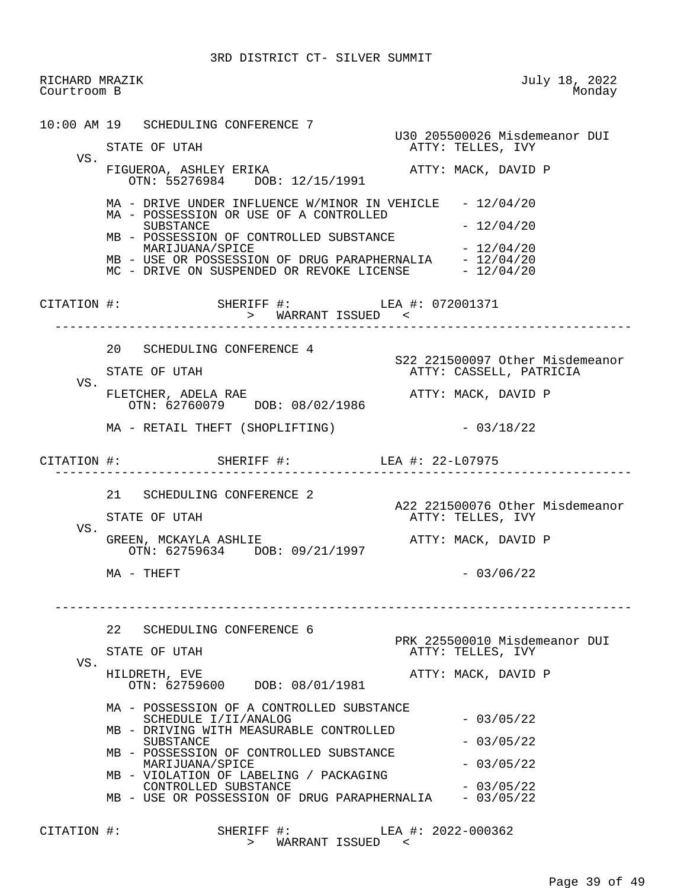RICHARD MRAZIK July 18, 2022 Courtroom B 10:00 AM 19 SCHEDULING CONFERENCE 7 U30 205500026 Misdemeanor DUI ATTY: TELLES, IVY VS. FIGUEROA, ASHLEY ERIKA ATTY: MACK, DAVID P OTN: 55276984 DOB: 12/15/1991 MA - DRIVE UNDER INFLUENCE W/MINOR IN VEHICLE - 12/04/20 MA - POSSESSION OR USE OF A CONTROLLED  $SUBSTATE$   $- 12/04/20$  MB - POSSESSION OF CONTROLLED SUBSTANCE MARIJUANA/SPICE  $- 12/04/20$ MB - USE OR POSSESSION OF DRUG PARAPHERNALIA - 12/04/20 MC - DRIVE ON SUSPENDED OR REVOKE LICENSE  $-12/04/20$  CITATION #: SHERIFF #: LEA #: 072001371 > WARRANT ISSUED < ------------------------------------------------------------------------------ 20 SCHEDULING CONFERENCE 4 S22 221500097 Other Misdemeanor ATTY: CASSELL, PATRICIA VS. FLETCHER, ADELA RAE **ATTY: MACK, DAVID P**  OTN: 62760079 DOB: 08/02/1986  $MA - RETAIL THEFT (SHOPLIFTING)$  - 03/18/22 CITATION #: SHERIFF #: LEA #: 22-L07975 ------------------------------------------------------------------------------ 21 SCHEDULING CONFERENCE 2 A22 221500076 Other Misdemeanor<br>ATTY: TELLES, IVY ATTY: TELLES, IVY VS. GREEN, MCKAYLA ASHLIE ATTY: MACK, DAVID P OTN: 62759634 DOB: 09/21/1997  $MA - THEFT$  - 03/06/22 ------------------------------------------------------------------------------ 22 SCHEDULING CONFERENCE 6 PRK 225500010 Misdemeanor DUI<br>PRK 225500010 Misdemeanor DUI<br>ATTY: TELLES, IVY ATTY: TELLES, IVY VS. HILDRETH, EVE ATTY: MACK, DAVID P OTN: 62759600 DOB: 08/01/1981 MA - POSSESSION OF A CONTROLLED SUBSTANCE SCHEDULE I/II/ANALOG - 03/05/22 MB - DRIVING WITH MEASURABLE CONTROLLED SUBSTANCE - 03/05/22 MB - POSSESSION OF CONTROLLED SUBSTANCE  $MARIJUANA/SPICE$   $-03/05/22$  MB - VIOLATION OF LABELING / PACKAGING  $CONTROLLED$  SUBSTANCE  $-03/05/22$ MB - USE OR POSSESSION OF DRUG PARAPHERNALIA - 03/05/22 CITATION #: SHERIFF #: LEA #: 2022-000362 > WARRANT ISSUED <

Page 39 of 49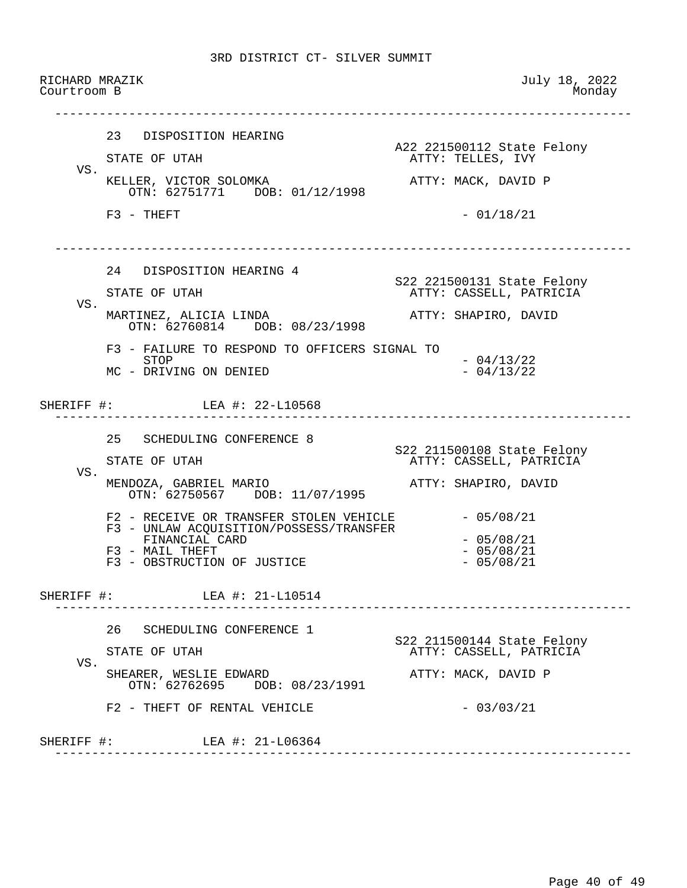RICHARD MRAZIK July 18, 2022 Courtroom B ------------------------------------------------------------------------------ 23 DISPOSITION HEARING A22 221500112 State Felony ATTY: TELLES, IVY VS. KELLER, VICTOR SOLOMKA ATTY: MACK, DAVID P OTN: 62751771 DOB: 01/12/1998  $F3 - THEFT$  - 01/18/21 ------------------------------------------------------------------------------ 24 DISPOSITION HEARING 4 S22 221500131 State Felony ATTY: CASSELL, PATRICIA VS. MARTINEZ, ALICIA LINDA (ATTY: SHAPIRO, DAVID OTN: 62760814 DOB: 08/23/1998 F3 - FAILURE TO RESPOND TO OFFICERS SIGNAL TO<br>STOP  $-04/13/22$ <br> $-04/13/22$ MC - DRIVING ON DENIED SHERIFF #: LEA #: 22-L10568 ------------------------------------------------------------------------------ 25 SCHEDULING CONFERENCE 8 S22 211500108 State Felony ATTY: CASSELL, PATRICIA VS. MENDOZA, GABRIEL MARIO **ATTY: SHAPIRO, DAVID**  OTN: 62750567 DOB: 11/07/1995  $F2$  - RECEIVE OR TRANSFER STOLEN VEHICLE  $-05/08/21$  F3 - UNLAW ACQUISITION/POSSESS/TRANSFER FINANCIAL CARD - 05/08/21  $F3$  - MAIL THEFT  $- 05/08/21$ <br> $F3$  - OBSTRUCTION OF JUSTICE  $- 05/08/21$ F3 - OBSTRUCTION OF JUSTICE SHERIFF #: LEA #: 21-L10514 ------------------------------------------------------------------------------ 26 SCHEDULING CONFERENCE 1 S22 211500144 State Felony ATTY: CASSELL, PATRICIA VS. SHEARER, WESLIE EDWARD **ATTY: MACK, DAVID P**  OTN: 62762695 DOB: 08/23/1991  $F2 - THEFT OF RENTAL VEHICLE$  - 03/03/21 SHERIFF #: LEA #: 21-L06364 ------------------------------------------------------------------------------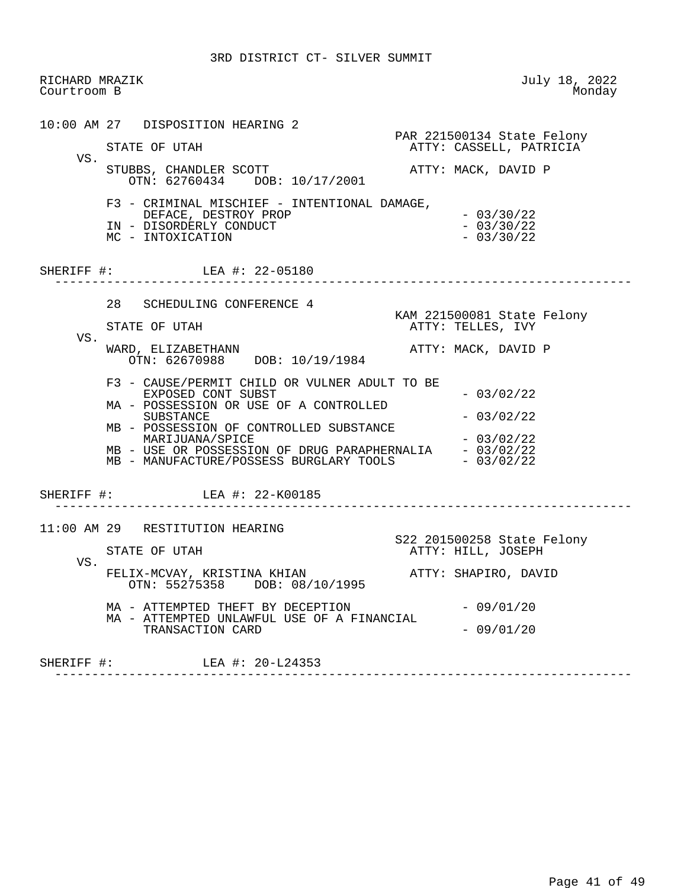| RICHARD MRAZIK<br>Courtroom B |                                                                                                                                                                                                                                                                                                                                            | July 18, 2022<br>Monday                                                      |
|-------------------------------|--------------------------------------------------------------------------------------------------------------------------------------------------------------------------------------------------------------------------------------------------------------------------------------------------------------------------------------------|------------------------------------------------------------------------------|
| VS.                           | 10:00 AM 27 DISPOSITION HEARING 2<br>STATE OF UTAH<br>STUBBS, CHANDLER SCOTT                                                                                                                                                                                                                                                               | PAR 221500134 State Felony<br>ATTY: CASSELL, PATRICIA<br>ATTY: MACK, DAVID P |
|                               | OTN: 62760434 DOB: 10/17/2001<br>F3 - CRIMINAL MISCHIEF - INTENTIONAL DAMAGE,<br>DEFACE, DESTROY PROP<br>IN - DISORDERLY CONDUCT<br>MC - INTOXICATION                                                                                                                                                                                      | $-03/30/22$<br>$-03/30/22$<br>$-03/30/22$                                    |
|                               | SHERIFF #: LEA #: 22-05180                                                                                                                                                                                                                                                                                                                 | ---------------------------------                                            |
| VS.                           | 28 SCHEDULING CONFERENCE 4<br>STATE OF UTAH<br>WARD, ELIZABETHANN                                                                                                                                                                                                                                                                          | KAM 221500081 State Felony<br>ATTY: TELLES, IVY<br>ATTY: MACK, DAVID P       |
|                               | OTN: 62670988 DOB: 10/19/1984<br>F3 - CAUSE/PERMIT CHILD OR VULNER ADULT TO BE<br>EXPOSED CONT SUBST<br>MA - POSSESSION OR USE OF A CONTROLLED<br>SUBSTANCE<br>MB - POSSESSION OF CONTROLLED SUBSTANCE<br>MARIJUANA/SPICE<br>MB - USE OR POSSESSION OF DRUG PARAPHERNALIA - 03/02/22<br>MB - MANUFACTURE/POSSESS BURGLARY TOOLS - 03/02/22 | $-03/02/22$<br>$-03/02/22$<br>$-03/02/22$                                    |
|                               | SHERIFF #: LEA #: 22-K00185                                                                                                                                                                                                                                                                                                                |                                                                              |
| VS.                           | 11:00 AM 29 RESTITUTION HEARING<br>STATE OF UTAH<br>FELIX-MCVAY, KRISTINA KHIAN                                                                                                                                                                                                                                                            | S22 201500258 State Felony<br>ATTY: HILL, JOSEPH<br>ATTY: SHAPIRO, DAVID     |
|                               | OTN: 55275358 DOB: 08/10/1995<br>MA - ATTEMPTED THEFT BY DECEPTION<br>MA - ATTEMPTED UNLAWFUL USE OF A FINANCIAL<br>TRANSACTION CARD                                                                                                                                                                                                       | $-09/01/20$<br>$-09/01/20$                                                   |
|                               | SHERIFF #: LEA #: 20-L24353                                                                                                                                                                                                                                                                                                                |                                                                              |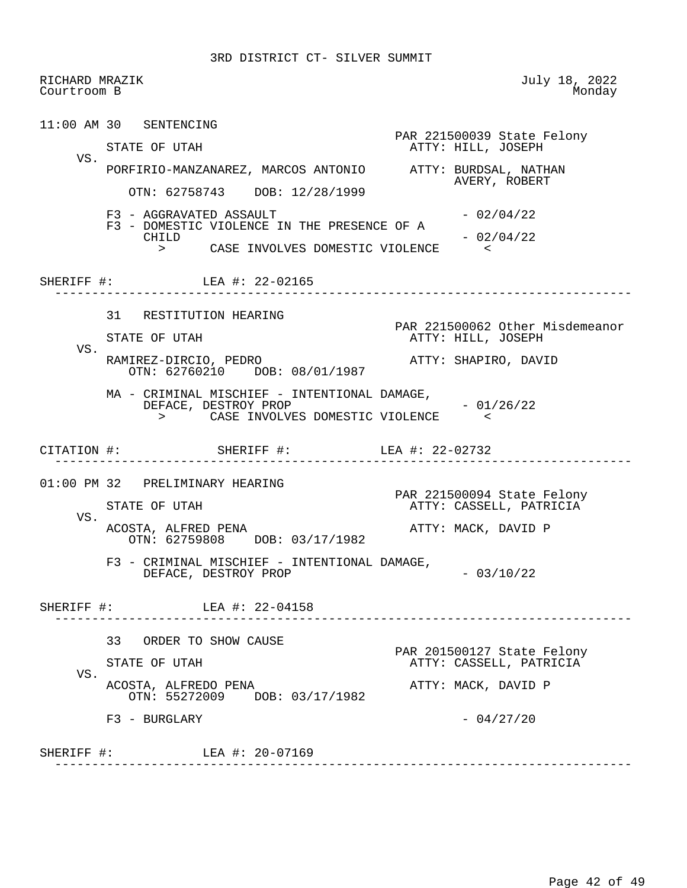RICHARD MRAZIK July 18, 2022 Courtroom B 11:00 AM 30 SENTENCING PAR 221500039 State Felony<br>
PAR 221500039 State Felony<br>
ATTY: HILL, JOSEPH ATTY: HILL, JOSEPH VS. PORFIRIO-MANZANAREZ, MARCOS ANTONIO ATTY: BURDSAL, NATHAN AVERY, ROBERT OTN: 62758743 DOB: 12/28/1999  $F3 - AGGRAVATED ASSAULT$  - 02/04/22 F3 - DOMESTIC VIOLENCE IN THE PRESENCE OF A<br>CHILD  $-02/04/22$  > CASE INVOLVES DOMESTIC VIOLENCE < SHERIFF #: LEA #: 22-02165 ------------------------------------------------------------------------------ 31 RESTITUTION HEARING PAR 221500062 Other Misdemeanor ATTY: HILL, JOSEPH VS. RAMIREZ-DIRCIO, PEDRO ATTY: SHAPIRO, DAVID OTN: 62760210 DOB: 08/01/1987 MA - CRIMINAL MISCHIEF - INTENTIONAL DAMAGE, DEFACE, DESTROY PROP - 01/26/22<br>> CASE INVOLVES DOMESTIC VIOLENCE CASE INVOLVES DOMESTIC VIOLENCE CITATION #: SHERIFF #: LEA #: 22-02732 ------------------------------------------------------------------------------ 01:00 PM 32 PRELIMINARY HEARING PAR 221500094 State Felony<br>PAR 221500094 State Felony<br>ATTY: CASSELL, PATRICIA ATTY: CASSELL, PATRICIA VS. ACOSTA, ALFRED PENA **ATTY: MACK, DAVID P**  OTN: 62759808 DOB: 03/17/1982 F3 - CRIMINAL MISCHIEF - INTENTIONAL DAMAGE, DEFACE, DESTROY PROP  $-03/10/22$ SHERIFF #: LEA #: 22-04158 ------------------------------------------------------------------------------ 33 ORDER TO SHOW CAUSE PAR 201500127 State Felony ATTY: CASSELL, PATRICIA VS. ACOSTA, ALFREDO PENA ATTY: MACK, DAVID P OTN: 55272009 DOB: 03/17/1982  $F3 - BURGLARY - 04/27/20$ SHERIFF #: LEA #: 20-07169 ------------------------------------------------------------------------------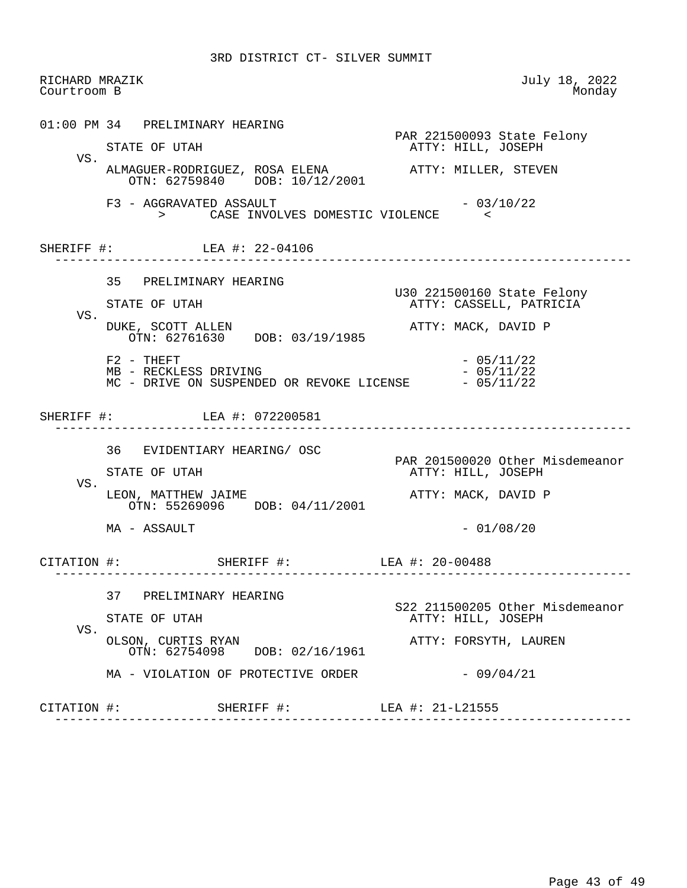| Courtroom B | RICHARD MRAZIK                                                                                      | July 18, 2022<br>Monday                               |
|-------------|-----------------------------------------------------------------------------------------------------|-------------------------------------------------------|
|             | 01:00 PM 34 PRELIMINARY HEARING<br>STATE OF UTAH                                                    | PAR 221500093 State Felony<br>ATTY: HILL, JOSEPH      |
| VS.         | ALMAGUER-RODRIGUEZ, ROSA ELENA<br><br><br><br>ATTY: MILLER, STEVEN<br>OTN: 62759840 DOB: 10/12/2001 |                                                       |
|             | F3 - AGGRAVATED ASSAULT<br>> CASE INVOLVES DOMESTIC VIOLENCE                                        | $-03/10/22$                                           |
|             | SHERIFF #: LEA #: 22-04106                                                                          | ---------------------------------                     |
|             | 35 PRELIMINARY HEARING                                                                              | U30 221500160 State Felony                            |
| VS.         | STATE OF UTAH<br>DUKE, SCOTT ALLEN<br>OTN: 62761630 DOB: 03/19/1985                                 | ATTY: CASSELL, PATRICIA<br>ATTY: MACK, DAVID P        |
|             | $F2 - THEFT$<br>MB - RECKLESS DRIVING<br>MC - DRIVE ON SUSPENDED OR REVOKE LICENSE $-05/11/22$      | $-05/11/22$<br>$-05/11/22$                            |
|             |                                                                                                     |                                                       |
|             | SHERIFF #: LEA #: 072200581                                                                         | ______________________________                        |
|             | 36 EVIDENTIARY HEARING/ OSC<br>STATE OF UTAH                                                        | PAR 201500020 Other Misdemeanor<br>ATTY: HILL, JOSEPH |
| VS.         | LEON, MATTHEW JAIME<br>OTN: 55269096 DOB: 04/11/2001                                                | ATTY: MACK, DAVID P                                   |
|             | MA - ASSAULT                                                                                        | $-01/08/20$                                           |
|             | CITATION #: SHERIFF #: LEA #: 20-00488<br>--------------------<br>------------------------          |                                                       |
|             | 37 PRELIMINARY HEARING                                                                              |                                                       |
| VS.         | STATE OF UTAH<br>OLSON, CURTIS RYAN<br>OTN: 62754098 DOB: 02/16/1961                                | ATTY: HILL, JOSEPH<br>ATTY: FORSYTH, LAUREN           |
|             | MA - VIOLATION OF PROTECTIVE ORDER                                                                  | S22 211500205 Other Misdemeanor<br>$-09/04/21$        |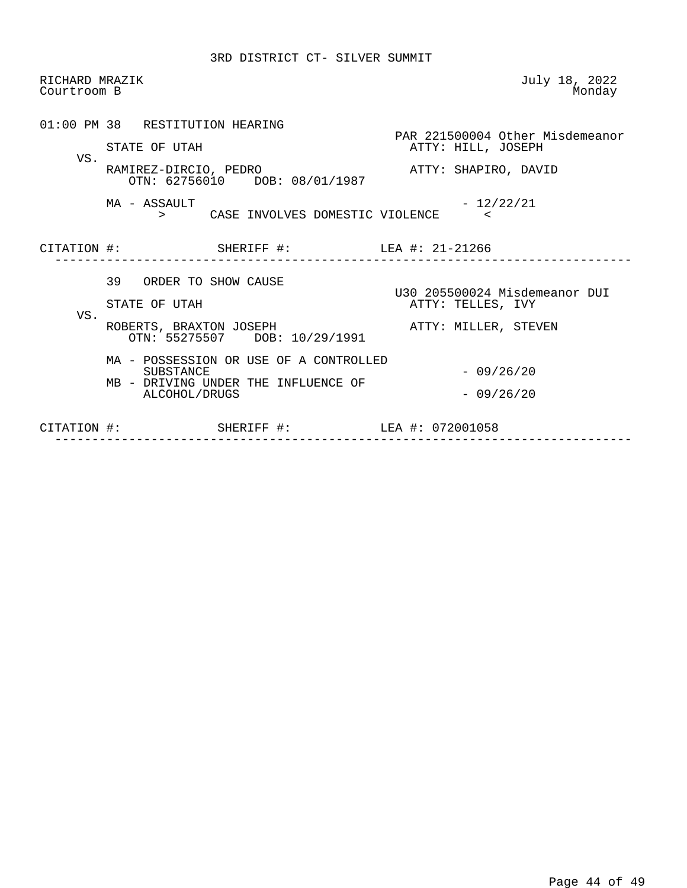| RICHARD MRAZIK<br>Courtroom B |                                                            | July 18, 2022<br>Monday         |
|-------------------------------|------------------------------------------------------------|---------------------------------|
|                               | 01:00 PM 38 RESTITUTION HEARING                            | PAR 221500004 Other Misdemeanor |
| VS.                           | STATE OF UTAH                                              | ATTY: HILL, JOSEPH              |
|                               | RAMIREZ-DIRCIO, PEDRO<br>OTN: 62756010 DOB: 08/01/1987     | ATTY: SHAPIRO, DAVID            |
|                               | MA - ASSAULT<br>> CASE INVOLVES DOMESTIC VIOLENCE          | - 12/22/21                      |
|                               | CITATION #: SHERIFF #: LEA #: 21-21266                     |                                 |
|                               | 39 ORDER TO SHOW CAUSE                                     | U30 205500024 Misdemeanor DUI   |
|                               | STATE OF UTAH                                              | ATTY: TELLES, IVY               |
| VS.                           | ROBERTS, BRAXTON JOSEPH<br>OTN: 55275507 DOB: 10/29/1991   | ATTY: MILLER, STEVEN            |
|                               | MA - POSSESSION OR USE OF A CONTROLLED<br><b>SUBSTANCE</b> | $-09/26/20$                     |
|                               | MB - DRIVING UNDER THE INFLUENCE OF<br>ALCOHOL/DRUGS       | $-09/26/20$                     |
|                               |                                                            |                                 |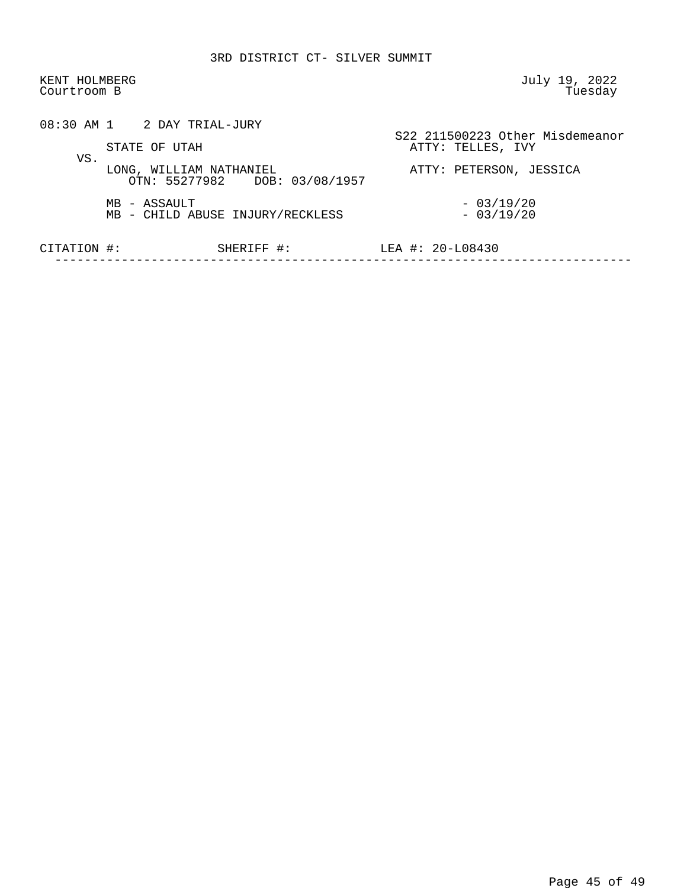| KENT HOLMBERG<br>Courtroom B |                                                          | July 19, 2022<br>Tuesday                             |
|------------------------------|----------------------------------------------------------|------------------------------------------------------|
|                              | $08:30$ AM 1 2 DAY TRIAL-JURY<br>STATE OF UTAH           | S22 211500223 Other Misdemeanor<br>ATTY: TELLES, IVY |
| VS.                          | LONG, WILLIAM NATHANIEL<br>OTN: 55277982 DOB: 03/08/1957 | ATTY: PETERSON, JESSICA                              |
|                              | MB - ASSAULT<br>MB - CHILD ABUSE INJURY/RECKLESS         | $-03/19/20$<br>$-03/19/20$                           |
| CITATION #:                  | SHERIFF #:                                               | LEA #: $20 - 108430$                                 |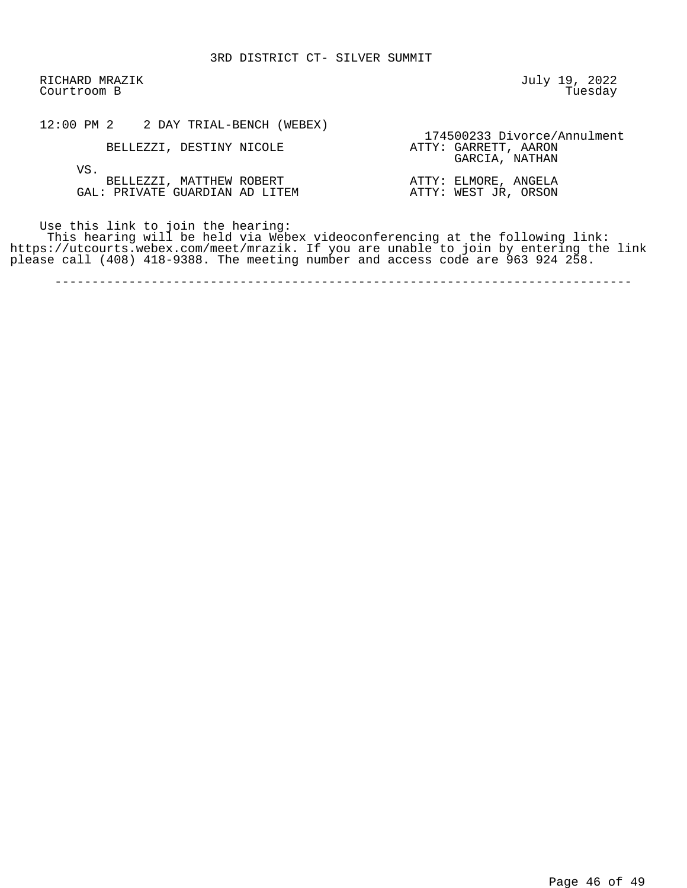RICHARD MRAZIK July 19, 2022 Courtroom B

| 12:00 PM 2<br>2 DAY TRIAL-BENCH (WEBEX) |                             |
|-----------------------------------------|-----------------------------|
|                                         | 174500233 Divorce/Annulment |
| BELLEZZI, DESTINY NICOLE                | ATTY: GARRETT, AARON        |

 GARCIA, NATHAN VS. BELLEZZI, MATTHEW ROBERT ATTY: ELMORE, ANGELA GAL: PRIVATE GUARDIAN AD LITEM ATTY: WEST JR, ORSON

Use this link to join the hearing:

 This hearing will be held via Webex videoconferencing at the following link: https://utcourts.webex.com/meet/mrazik. If you are unable to join by entering the link please call (408) 418-9388. The meeting number and access code are 963 924 258.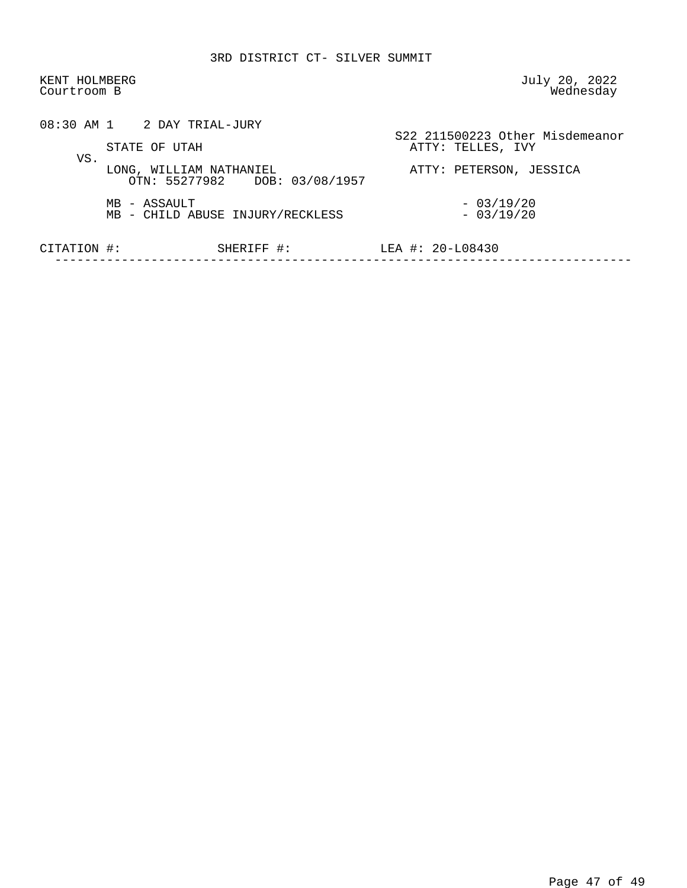| KENT HOLMBERG<br>Courtroom B |                                                          | July 20, 2022<br>Wednesday                           |
|------------------------------|----------------------------------------------------------|------------------------------------------------------|
|                              | 08:30 AM 1 2 DAY TRIAL-JURY<br>STATE OF UTAH             | S22 211500223 Other Misdemeanor<br>ATTY: TELLES, IVY |
| VS.                          | LONG, WILLIAM NATHANIEL<br>OTN: 55277982 DOB: 03/08/1957 | ATTY: PETERSON, JESSICA                              |
|                              | MB - ASSAULT<br>MB - CHILD ABUSE INJURY/RECKLESS         | $-03/19/20$<br>$-03/19/20$                           |
| CITATION #:                  | SHERIFF #:                                               | LEA #: $20 - 108430$                                 |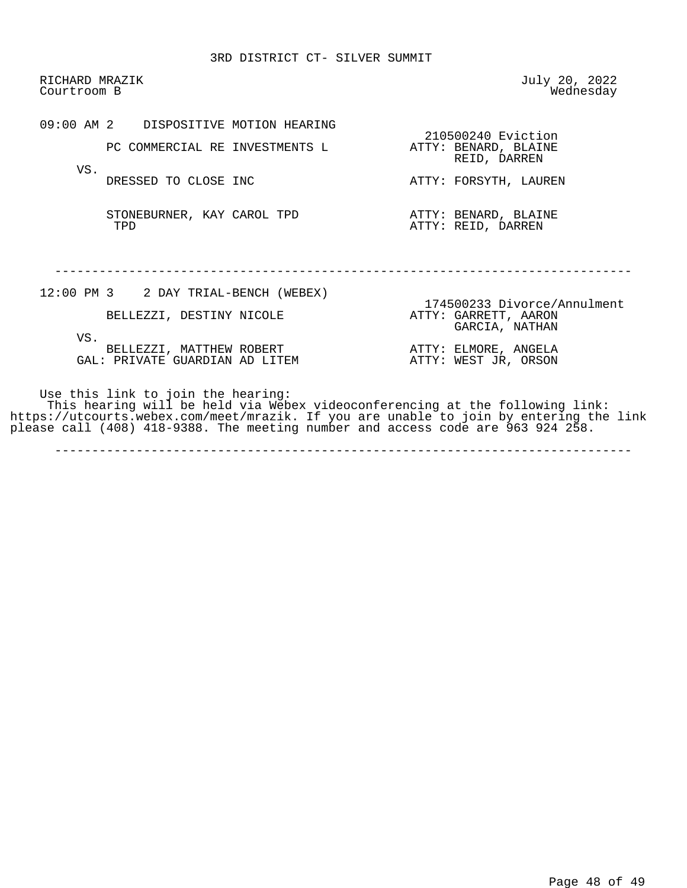RICHARD MRAZIK July 20, 2022 Courtroom B

 09:00 AM 2 DISPOSITIVE MOTION HEARING 210500240 Eviction<br>ATTY: BENARD, BLAINE PC COMMERCIAL RE INVESTMENTS L VS.<br>DRESSED TO CLOSE INC

STONEBURNER, KAY CAROL TPD **ATTY: BENARD, BLAINE**<br>TPD **ATTY: REID, DARREN** 

REID, DARREN

ATTY: FORSYTH, LAUREN

ATTY: REID, DARREN

------------------------------------------------------------------------------

| 12:00 PM 3 2 DAY TRIAL-BENCH (WEBEX) | 174500233 Divorce/Annulment            |
|--------------------------------------|----------------------------------------|
| BELLEZZI, DESTINY NICOLE             | ATTY: GARRETT, AARON<br>GARCIA, NATHAN |
| VS.<br>BELLEZZI, MATTHEW ROBERT      | ATTY: ELMORE, ANGELA                   |
| GAL: PRIVATE GUARDIAN AD LITEM       | ATTY: WEST JR, ORSON                   |
|                                      |                                        |

 Use this link to join the hearing: This hearing will be held via Webex videoconferencing at the following link: https://utcourts.webex.com/meet/mrazik. If you are unable to join by entering the link please call (408) 418-9388. The meeting number and access code are 963 924 258.